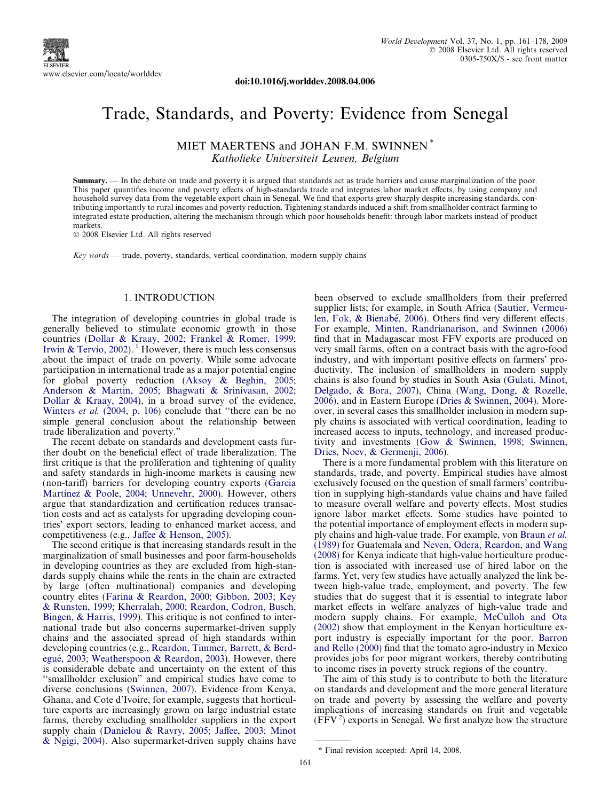doi:10.1016/j.worlddev.2008.04.006

# Trade, Standards, and Poverty: Evidence from Senegal

MIET MAERTENS and JOHAN F.M. SWINNEN \* Katholieke Universiteit Leuven, Belgium

Summary. — In the debate on trade and poverty it is argued that standards act as trade barriers and cause marginalization of the poor. This paper quantifies income and poverty effects of high-standards trade and integrates labor market effects, by using company and household survey data from the vegetable export chain in Senegal. We find that exports grew sharply despite increasing standards, contributing importantly to rural incomes and poverty reduction. Tightening standards induced a shift from smallholder contract farming to integrated estate production, altering the mechanism through which poor households benefit: through labor markets instead of product markets.

- 2008 Elsevier Ltd. All rights reserved

Key words — trade, poverty, standards, vertical coordination, modern supply chains

## 1. INTRODUCTION

The integration of developing countries in global trade is generally believed to stimulate economic growth in those countries [\(Dollar & Kraay, 2002; Frankel & Romer, 1999;](#page-14-0) [Irwin & Tervio, 2002\)](#page-14-0).  $\frac{1}{1}$  However, there is much less consensus about the impact of trade on poverty. While some advocate participation in international trade as a major potential engine for global poverty reduction ([Aksoy & Beghin, 2005;](#page-14-0) [Anderson & Martin, 2005; Bhagwati & Srinivasan, 2002;](#page-14-0) [Dollar & Kraay, 2004\)](#page-14-0), in a broad survey of the evidence, Winters et al. [\(2004, p. 106\)](#page-15-0) conclude that ''there can be no simple general conclusion about the relationship between trade liberalization and poverty."

The recent debate on standards and development casts further doubt on the beneficial effect of trade liberalization. The first critique is that the proliferation and tightening of quality and safety standards in high-income markets is causing new (non-tariff) barriers for developing country exports ([Garcia](#page-14-0) [Martinez & Poole, 2004; Unnevehr, 2000\)](#page-14-0). However, others argue that standardization and certification reduces transaction costs and act as catalysts for upgrading developing countries' export sectors, leading to enhanced market access, and competitiveness (e.g., [Jaffee & Henson, 2005\)](#page-14-0).

The second critique is that increasing standards result in the marginalization of small businesses and poor farm-households in developing countries as they are excluded from high-standards supply chains while the rents in the chain are extracted by large (often multinational) companies and developing country elites ([Farina & Reardon, 2000; Gibbon, 2003; Key](#page-14-0) [& Runsten, 1999; Kherralah, 2000; Reardon, Codron, Busch,](#page-14-0) [Bingen, & Harris, 1999](#page-14-0)). This critique is not confined to international trade but also concerns supermarket-driven supply chains and the associated spread of high standards within developing countries (e.g., [Reardon, Timmer, Barrett, & Berd](#page-15-0)egué, 2003; Weatherspoon & Reardon, 2003). However, there is considerable debate and uncertainty on the extent of this ''smallholder exclusion" and empirical studies have come to diverse conclusions [\(Swinnen, 2007](#page-15-0)). Evidence from Kenya, Ghana, and Cote d'Ivoire, for example, suggests that horticulture exports are increasingly grown on large industrial estate farms, thereby excluding smallholder suppliers in the export supply chain ([Danielou & Ravry, 2005; Jaffee, 2003; Minot](#page-14-0) [& Ngigi, 2004\)](#page-14-0). Also supermarket-driven supply chains have

been observed to exclude smallholders from their preferred supplier lists; for example, in South Africa [\(Sautier, Vermeu](#page-15-0)len, Fok, & Bienabé, 2006). Others find very different effects. For example, [Minten, Randrianarison, and Swinnen \(2006\)](#page-15-0) find that in Madagascar most FFV exports are produced on very small farms, often on a contract basis with the agro-food industry, and with important positive effects on farmers' productivity. The inclusion of smallholders in modern supply chains is also found by studies in South Asia ([Gulati, Minot,](#page-14-0) [Delgado, & Bora, 2007](#page-14-0)), China ([Wang, Dong, & Rozelle,](#page-15-0) [2006](#page-15-0)), and in Eastern Europe ([Dries & Swinnen, 2004\)](#page-14-0). Moreover, in several cases this smallholder inclusion in modern supply chains is associated with vertical coordination, leading to increased access to inputs, technology, and increased productivity and investments [\(Gow & Swinnen, 1998; Swinnen,](#page-14-0) [Dries, Noev, & Germenji, 2006\)](#page-14-0).

There is a more fundamental problem with this literature on standards, trade, and poverty. Empirical studies have almost exclusively focused on the question of small farmers' contribution in supplying high-standards value chains and have failed to measure overall welfare and poverty effects. Most studies ignore labor market effects. Some studies have pointed to the potential importance of employment effects in modern supply chains and high-value trade. For example, von [Braun](#page-15-0) et al. [\(1989\)](#page-15-0) for Guatemala and [Neven, Odera, Reardon, and Wang](#page-15-0) [\(2008\)](#page-15-0) for Kenya indicate that high-value horticulture production is associated with increased use of hired labor on the farms. Yet, very few studies have actually analyzed the link between high-value trade, employment, and poverty. The few studies that do suggest that it is essential to integrate labor market effects in welfare analyzes of high-value trade and modern supply chains. For example, [McCulloh and Ota](#page-15-0) [\(2002\)](#page-15-0) show that employment in the Kenyan horticulture export industry is especially important for the poor. [Barron](#page-14-0) [and Rello \(2000\)](#page-14-0) find that the tomato agro-industry in Mexico provides jobs for poor migrant workers, thereby contributing to income rises in poverty struck regions of the country.

The aim of this study is to contribute to both the literature on standards and development and the more general literature on trade and poverty by assessing the welfare and poverty implications of increasing standards on fruit and vegetable  $(FFV<sup>2</sup>)$  exports in Senegal. We first analyze how the structure

<sup>\*</sup> Final revision accepted: April 14, 2008.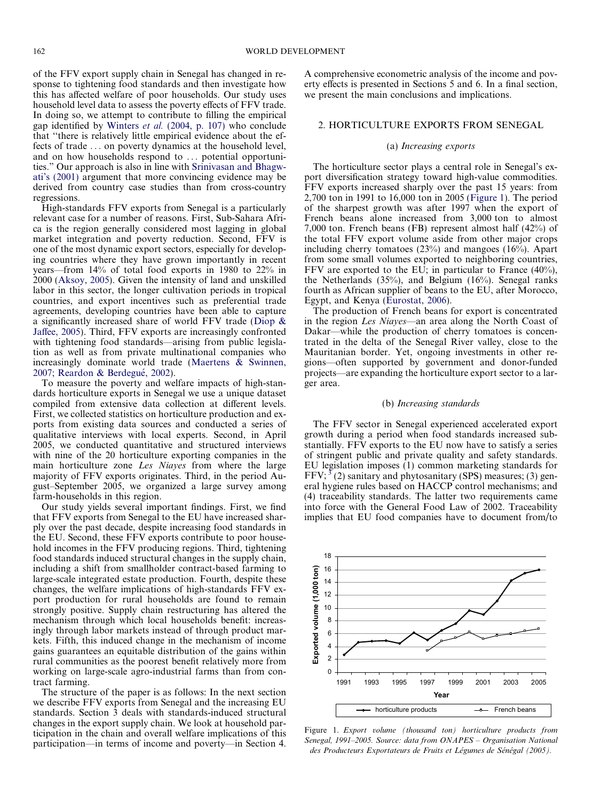of the FFV export supply chain in Senegal has changed in response to tightening food standards and then investigate how this has affected welfare of poor households. Our study uses household level data to assess the poverty effects of FFV trade. In doing so, we attempt to contribute to filling the empirical gap identified by Winters et al. [\(2004, p. 107\)](#page-15-0) who conclude that ''there is relatively little empirical evidence about the effects of trade ... on poverty dynamics at the household level, and on how households respond to ... potential opportunities." Our approach is also in line with [Srinivasan and Bhagw](#page-15-0)[ati's \(2001\)](#page-15-0) argument that more convincing evidence may be derived from country case studies than from cross-country regressions.

High-standards FFV exports from Senegal is a particularly relevant case for a number of reasons. First, Sub-Sahara Africa is the region generally considered most lagging in global market integration and poverty reduction. Second, FFV is one of the most dynamic export sectors, especially for developing countries where they have grown importantly in recent years—from 14% of total food exports in 1980 to 22% in 2000 ([Aksoy, 2005](#page-14-0)). Given the intensity of land and unskilled labor in this sector, the longer cultivation periods in tropical countries, and export incentives such as preferential trade agreements, developing countries have been able to capture a significantly increased share of world FFV trade ([Diop &](#page-14-0) [Jaffee, 2005\)](#page-14-0). Third, FFV exports are increasingly confronted with tightening food standards—arising from public legislation as well as from private multinational companies who increasingly dominate world trade ([Maertens & Swinnen,](#page-15-0) 2007; Reardon & Berdegué, 2002).

To measure the poverty and welfare impacts of high-standards horticulture exports in Senegal we use a unique dataset compiled from extensive data collection at different levels. First, we collected statistics on horticulture production and exports from existing data sources and conducted a series of qualitative interviews with local experts. Second, in April 2005, we conducted quantitative and structured interviews with nine of the 20 horticulture exporting companies in the main horticulture zone Les Niayes from where the large majority of FFV exports originates. Third, in the period August–September 2005, we organized a large survey among farm-households in this region.

Our study yields several important findings. First, we find that FFV exports from Senegal to the EU have increased sharply over the past decade, despite increasing food standards in the EU. Second, these FFV exports contribute to poor household incomes in the FFV producing regions. Third, tightening food standards induced structural changes in the supply chain, including a shift from smallholder contract-based farming to large-scale integrated estate production. Fourth, despite these changes, the welfare implications of high-standards FFV export production for rural households are found to remain strongly positive. Supply chain restructuring has altered the mechanism through which local households benefit: increasingly through labor markets instead of through product markets. Fifth, this induced change in the mechanism of income gains guarantees an equitable distribution of the gains within rural communities as the poorest benefit relatively more from working on large-scale agro-industrial farms than from contract farming.

The structure of the paper is as follows: In the next section we describe FFV exports from Senegal and the increasing EU standards. Section 3 deals with standards-induced structural changes in the export supply chain. We look at household participation in the chain and overall welfare implications of this participation—in terms of income and poverty—in Section 4. A comprehensive econometric analysis of the income and poverty effects is presented in Sections 5 and 6. In a final section, we present the main conclusions and implications.

## 2. HORTICULTURE EXPORTS FROM SENEGAL

#### (a) Increasing exports

The horticulture sector plays a central role in Senegal's export diversification strategy toward high-value commodities. FFV exports increased sharply over the past 15 years: from 2,700 ton in 1991 to 16,000 ton in 2005 (Figure 1). The period of the sharpest growth was after 1997 when the export of French beans alone increased from 3,000 ton to almost 7,000 ton. French beans (FB) represent almost half (42%) of the total FFV export volume aside from other major crops including cherry tomatoes (23%) and mangoes (16%). Apart from some small volumes exported to neighboring countries, FFV are exported to the EU; in particular to France  $(40\%)$ , the Netherlands (35%), and Belgium (16%). Senegal ranks fourth as African supplier of beans to the EU, after Morocco, Egypt, and Kenya ([Eurostat, 2006](#page-14-0)).

The production of French beans for export is concentrated in the region Les Niayes—an area along the North Coast of Dakar—while the production of cherry tomatoes is concentrated in the delta of the Senegal River valley, close to the Mauritanian border. Yet, ongoing investments in other regions—often supported by government and donor-funded projects—are expanding the horticulture export sector to a larger area.

## (b) Increasing standards

The FFV sector in Senegal experienced accelerated export growth during a period when food standards increased substantially. FFV exports to the EU now have to satisfy a series of stringent public and private quality and safety standards. EU legislation imposes (1) common marketing standards for  $FFV; (2)$  sanitary and phytosanitary (SPS) measures; (3) general hygiene rules based on HACCP control mechanisms; and (4) traceability standards. The latter two requirements came into force with the General Food Law of 2002. Traceability implies that EU food companies have to document from/to



Figure 1. Export volume (thousand ton) horticulture products from Senegal, 1991–2005. Source: data from ONAPES – Organisation National des Producteurs Exportateurs de Fruits et Légumes de Sénégal (2005).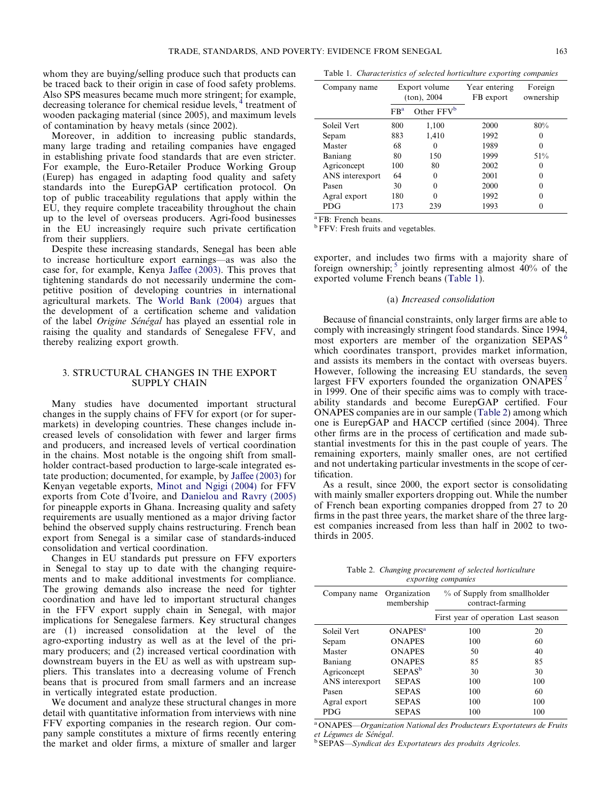<span id="page-2-0"></span>whom they are buying/selling produce such that products can be traced back to their origin in case of food safety problems. Also SPS measures became much more stringent; for example, decreasing tolerance for chemical residue levels, <sup>4</sup> treatment of wooden packaging material (since 2005), and maximum levels of contamination by heavy metals (since 2002).

Moreover, in addition to increasing public standards, many large trading and retailing companies have engaged in establishing private food standards that are even stricter. For example, the Euro-Retailer Produce Working Group (Eurep) has engaged in adapting food quality and safety standards into the EurepGAP certification protocol. On top of public traceability regulations that apply within the EU, they require complete traceability throughout the chain up to the level of overseas producers. Agri-food businesses in the EU increasingly require such private certification from their suppliers.

Despite these increasing standards, Senegal has been able to increase horticulture export earnings—as was also the case for, for example, Kenya [Jaffee \(2003\).](#page-14-0) This proves that tightening standards do not necessarily undermine the competitive position of developing countries in international agricultural markets. The [World Bank \(2004\)](#page-15-0) argues that the development of a certification scheme and validation of the label *Origine Sénégal* has played an essential role in raising the quality and standards of Senegalese FFV, and thereby realizing export growth.

# 3. STRUCTURAL CHANGES IN THE EXPORT SUPPLY CHAIN

Many studies have documented important structural changes in the supply chains of FFV for export (or for supermarkets) in developing countries. These changes include increased levels of consolidation with fewer and larger firms and producers, and increased levels of vertical coordination in the chains. Most notable is the ongoing shift from smallholder contract-based production to large-scale integrated estate production; documented, for example, by [Jaffee \(2003\)](#page-14-0) for Kenyan vegetable exports, [Minot and Ngigi \(2004\)](#page-15-0) for FFV exports from Cote d'Ivoire, and [Danielou and Ravry \(2005\)](#page-14-0) for pineapple exports in Ghana. Increasing quality and safety requirements are usually mentioned as a major driving factor behind the observed supply chains restructuring. French bean export from Senegal is a similar case of standards-induced consolidation and vertical coordination.

Changes in EU standards put pressure on FFV exporters in Senegal to stay up to date with the changing requirements and to make additional investments for compliance. The growing demands also increase the need for tighter coordination and have led to important structural changes in the FFV export supply chain in Senegal, with major implications for Senegalese farmers. Key structural changes are (1) increased consolidation at the level of the agro-exporting industry as well as at the level of the primary producers; and (2) increased vertical coordination with downstream buyers in the EU as well as with upstream suppliers. This translates into a decreasing volume of French beans that is procured from small farmers and an increase in vertically integrated estate production.

We document and analyze these structural changes in more detail with quantitative information from interviews with nine FFV exporting companies in the research region. Our company sample constitutes a mixture of firms recently entering the market and older firms, a mixture of smaller and larger

Table 1. Characteristics of selected horticulture exporting companies

| Company name    | Export volume<br>(ton), 2004 |                        | Year entering<br>FB export | Foreign<br>ownership |
|-----------------|------------------------------|------------------------|----------------------------|----------------------|
|                 | FR <sup>a</sup>              | Other FFV <sup>b</sup> |                            |                      |
| Soleil Vert     | 800                          | 1,100                  | 2000                       | 80%                  |
| Sepam           | 883                          | 1,410                  | 1992                       | 0                    |
| Master          | 68                           | 0                      | 1989                       | 0                    |
| Baniang         | 80                           | 150                    | 1999                       | 51%                  |
| Agriconcept     | 100                          | 80                     | 2002                       | 0                    |
| ANS interexport | 64                           | 0                      | 2001                       | 0                    |
| Pasen           | 30                           | $\theta$               | 2000                       | 0                    |
| Agral export    | 180                          | 0                      | 1992                       | 0                    |
| <b>PDG</b>      | 173                          | 239                    | 1993                       | 0                    |

<sup>a</sup> FB: French beans.

<sup>b</sup> FFV: Fresh fruits and vegetables.

exporter, and includes two firms with a majority share of foreign ownership;  $5$  jointly representing almost  $40\%$  of the exported volume French beans (Table 1).

#### (a) Increased consolidation

Because of financial constraints, only larger firms are able to comply with increasingly stringent food standards. Since 1994, most exporters are member of the organization SEPAS<sup>6</sup> which coordinates transport, provides market information, and assists its members in the contact with overseas buyers. However, following the increasing EU standards, the seven largest FFV exporters founded the organization ONAPES<sup>7</sup> in 1999. One of their specific aims was to comply with traceability standards and become EurepGAP certified. Four ONAPES companies are in our sample (Table 2) among which one is EurepGAP and HACCP certified (since 2004). Three other firms are in the process of certification and made substantial investments for this in the past couple of years. The remaining exporters, mainly smaller ones, are not certified and not undertaking particular investments in the scope of certification.

As a result, since 2000, the export sector is consolidating with mainly smaller exporters dropping out. While the number of French bean exporting companies dropped from 27 to 20 firms in the past three years, the market share of the three largest companies increased from less than half in 2002 to twothirds in 2005.

|  | Table 2. Changing procurement of selected horticulture |  |  |
|--|--------------------------------------------------------|--|--|
|  | exporting companies                                    |  |  |

| Company name    | Organization<br>membership | % of Supply from smallholder<br>contract-farming |     |
|-----------------|----------------------------|--------------------------------------------------|-----|
|                 |                            | First year of operation Last season              |     |
| Soleil Vert     | <b>ONAPES<sup>a</sup></b>  | 100                                              | 20  |
| Sepam           | <b>ONAPES</b>              | 100                                              | 60  |
| Master          | <b>ONAPES</b>              | 50                                               | 40  |
| Baniang         | <b>ONAPES</b>              | 85                                               | 85  |
| Agriconcept     | <b>SEPAS</b> <sup>b</sup>  | 30                                               | 30  |
| ANS interexport | <b>SEPAS</b>               | 100                                              | 100 |
| Pasen           | <b>SEPAS</b>               | 100                                              | 60  |
| Agral export    | <b>SEPAS</b>               | 100                                              | 100 |
| PDG             | <b>SEPAS</b>               | 100                                              | 100 |

<sup>a</sup> ONAPES-Organization National des Producteurs Exportateurs de Fruits et Légumes de Sénégal.<br><sup>b</sup> SEPAS—Syndicat des Exportateurs des produits Agricoles.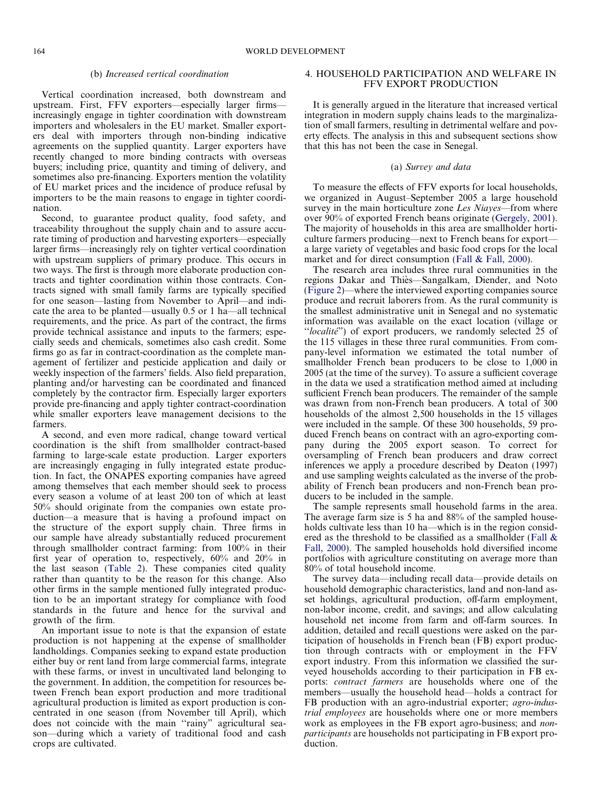#### (b) Increased vertical coordination

Vertical coordination increased, both downstream and upstream. First, FFV exporters—especially larger firms increasingly engage in tighter coordination with downstream importers and wholesalers in the EU market. Smaller exporters deal with importers through non-binding indicative agreements on the supplied quantity. Larger exporters have recently changed to more binding contracts with overseas buyers; including price, quantity and timing of delivery, and sometimes also pre-financing. Exporters mention the volatility of EU market prices and the incidence of produce refusal by importers to be the main reasons to engage in tighter coordination.

Second, to guarantee product quality, food safety, and traceability throughout the supply chain and to assure accurate timing of production and harvesting exporters—especially larger firms—increasingly rely on tighter vertical coordination with upstream suppliers of primary produce. This occurs in two ways. The first is through more elaborate production contracts and tighter coordination within those contracts. Contracts signed with small family farms are typically specified for one season—lasting from November to April—and indicate the area to be planted—usually 0.5 or 1 ha—all technical requirements, and the price. As part of the contract, the firms provide technical assistance and inputs to the farmers; especially seeds and chemicals, sometimes also cash credit. Some firms go as far in contract-coordination as the complete management of fertilizer and pesticide application and daily or weekly inspection of the farmers' fields. Also field preparation, planting and/or harvesting can be coordinated and financed completely by the contractor firm. Especially larger exporters provide pre-financing and apply tighter contract-coordination while smaller exporters leave management decisions to the farmers.

A second, and even more radical, change toward vertical coordination is the shift from smallholder contract-based farming to large-scale estate production. Larger exporters are increasingly engaging in fully integrated estate production. In fact, the ONAPES exporting companies have agreed among themselves that each member should seek to process every season a volume of at least 200 ton of which at least 50% should originate from the companies own estate production—a measure that is having a profound impact on the structure of the export supply chain. Three firms in our sample have already substantially reduced procurement through smallholder contract farming: from 100% in their first year of operation to, respectively, 60% and 20% in the last season ([Table 2\)](#page-2-0). These companies cited quality rather than quantity to be the reason for this change. Also other firms in the sample mentioned fully integrated production to be an important strategy for compliance with food standards in the future and hence for the survival and growth of the firm.

An important issue to note is that the expansion of estate production is not happening at the expense of smallholder landholdings. Companies seeking to expand estate production either buy or rent land from large commercial farms, integrate with these farms, or invest in uncultivated land belonging to the government. In addition, the competition for resources between French bean export production and more traditional agricultural production is limited as export production is concentrated in one season (from November till April), which does not coincide with the main ''rainy" agricultural season—during which a variety of traditional food and cash crops are cultivated.

# 4. HOUSEHOLD PARTICIPATION AND WELFARE IN FFV EXPORT PRODUCTION

It is generally argued in the literature that increased vertical integration in modern supply chains leads to the marginalization of small farmers, resulting in detrimental welfare and poverty effects. The analysis in this and subsequent sections show that this has not been the case in Senegal.

#### (a) Survey and data

To measure the effects of FFV exports for local households, we organized in August–September 2005 a large household survey in the main horticulture zone Les Niayes—from where over 90% of exported French beans originate ([Gergely, 2001](#page-14-0)). The majority of households in this area are smallholder horticulture farmers producing—next to French beans for export a large variety of vegetables and basic food crops for the local market and for direct consumption ([Fall & Fall, 2000\)](#page-14-0).

The research area includes three rural communities in the regions Dakar and Thiès—Sangalkam, Diender, and Noto ([Figure 2\)](#page-4-0)—where the interviewed exporting companies source produce and recruit laborers from. As the rural community is the smallest administrative unit in Senegal and no systematic information was available on the exact location (village or "localité") of export producers, we randomly selected 25 of the 115 villages in these three rural communities. From company-level information we estimated the total number of smallholder French bean producers to be close to 1,000 in 2005 (at the time of the survey). To assure a sufficient coverage in the data we used a stratification method aimed at including sufficient French bean producers. The remainder of the sample was drawn from non-French bean producers. A total of 300 households of the almost 2,500 households in the 15 villages were included in the sample. Of these 300 households, 59 produced French beans on contract with an agro-exporting company during the 2005 export season. To correct for oversampling of French bean producers and draw correct inferences we apply a procedure described by Deaton (1997) and use sampling weights calculated as the inverse of the probability of French bean producers and non-French bean producers to be included in the sample.

The sample represents small household farms in the area. The average farm size is 5 ha and 88% of the sampled households cultivate less than 10 ha—which is in the region considered as the threshold to be classified as a smallholder [\(Fall &](#page-14-0) [Fall, 2000\)](#page-14-0). The sampled households hold diversified income portfolios with agriculture constituting on average more than 80% of total household income.

The survey data—including recall data—provide details on household demographic characteristics, land and non-land asset holdings, agricultural production, off-farm employment, non-labor income, credit, and savings; and allow calculating household net income from farm and off-farm sources. In addition, detailed and recall questions were asked on the participation of households in French bean (FB) export production through contracts with or employment in the FFV export industry. From this information we classified the surveyed households according to their participation in FB exports: *contract farmers* are households where one of the members—usually the household head—holds a contract for FB production with an agro-industrial exporter; *agro-indus*trial employees are households where one or more members work as employees in the FB export agro-business; and *non*participants are households not participating in FB export production.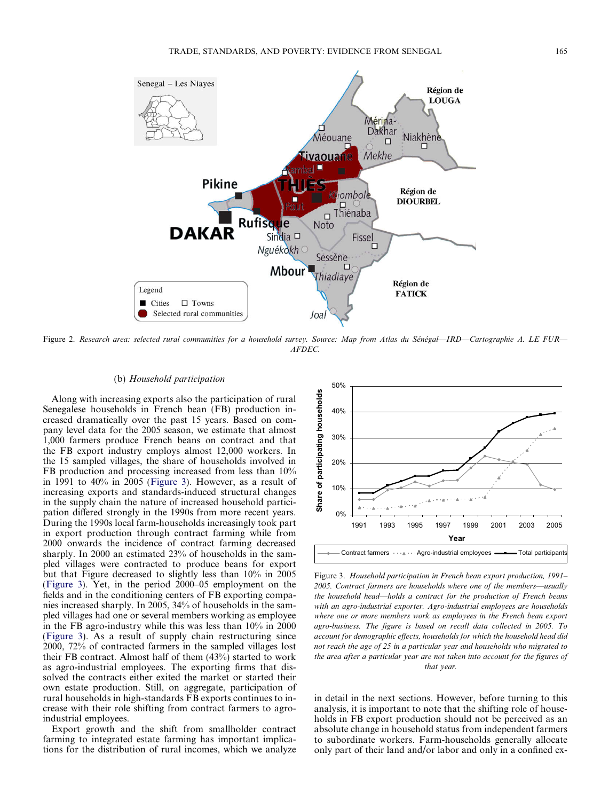<span id="page-4-0"></span>

Figure 2. Research area: selected rural communities for a household survey. Source: Map from Atlas du Sénégal—IRD—Cartographie A. LE FUR— AFDEC.

## (b) Household participation

Along with increasing exports also the participation of rural Senegalese households in French bean (FB) production increased dramatically over the past 15 years. Based on company level data for the 2005 season, we estimate that almost 1,000 farmers produce French beans on contract and that the FB export industry employs almost 12,000 workers. In the 15 sampled villages, the share of households involved in FB production and processing increased from less than 10% in 1991 to 40% in 2005 (Figure 3). However, as a result of increasing exports and standards-induced structural changes in the supply chain the nature of increased household participation differed strongly in the 1990s from more recent years. During the 1990s local farm-households increasingly took part in export production through contract farming while from 2000 onwards the incidence of contract farming decreased sharply. In 2000 an estimated 23% of households in the sampled villages were contracted to produce beans for export but that Figure decreased to slightly less than 10% in 2005 (Figure 3). Yet, in the period 2000–05 employment on the fields and in the conditioning centers of FB exporting companies increased sharply. In 2005, 34% of households in the sampled villages had one or several members working as employee in the FB agro-industry while this was less than 10% in 2000 (Figure 3). As a result of supply chain restructuring since 2000, 72% of contracted farmers in the sampled villages lost their FB contract. Almost half of them (43%) started to work as agro-industrial employees. The exporting firms that dissolved the contracts either exited the market or started their own estate production. Still, on aggregate, participation of rural households in high-standards FB exports continues to increase with their role shifting from contract farmers to agroindustrial employees.

Export growth and the shift from smallholder contract farming to integrated estate farming has important implications for the distribution of rural incomes, which we analyze



Figure 3. Household participation in French bean export production, 1991– 2005. Contract farmers are households where one of the members—usually the household head—holds a contract for the production of French beans with an agro-industrial exporter. Agro-industrial employees are households where one or more members work as employees in the French bean export agro-business. The figure is based on recall data collected in 2005. To account for demographic effects, households for which the household head did not reach the age of 25 in a particular year and households who migrated to the area after a particular year are not taken into account for the figures of that year.

in detail in the next sections. However, before turning to this analysis, it is important to note that the shifting role of households in FB export production should not be perceived as an absolute change in household status from independent farmers to subordinate workers. Farm-households generally allocate only part of their land and/or labor and only in a confined ex-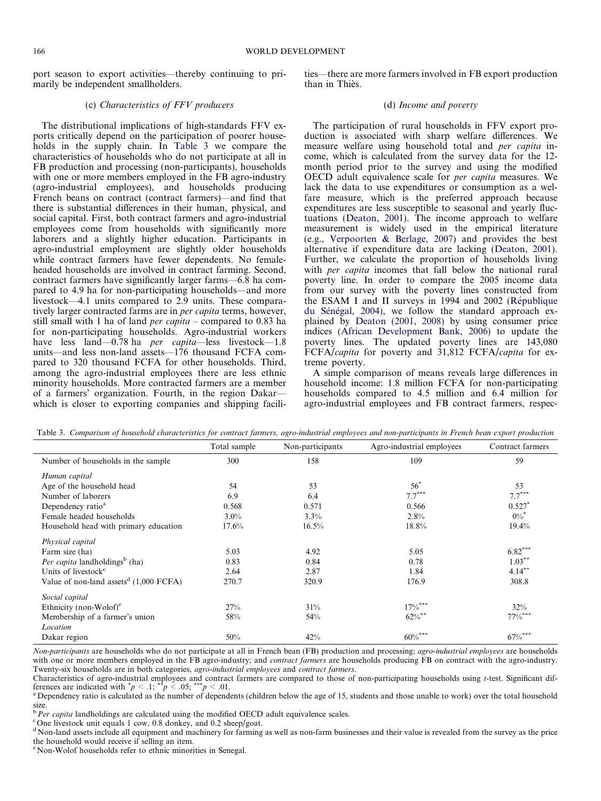port season to export activities—thereby continuing to primarily be independent smallholders.

# (c) Characteristics of FFV producers

The distributional implications of high-standards FFV exports critically depend on the participation of poorer households in the supply chain. In Table 3 we compare the characteristics of households who do not participate at all in FB production and processing (non-participants), households with one or more members employed in the FB agro-industry (agro-industrial employees), and households producing French beans on contract (contract farmers)—and find that there is substantial differences in their human, physical, and social capital. First, both contract farmers and agro-industrial employees come from households with significantly more laborers and a slightly higher education. Participants in agro-industrial employment are slightly older households while contract farmers have fewer dependents. No femaleheaded households are involved in contract farming. Second, contract farmers have significantly larger farms—6.8 ha compared to 4.9 ha for non-participating households—and more livestock—4.1 units compared to 2.9 units. These comparatively larger contracted farms are in *per capita* terms, however, still small with 1 ha of land *per capita –* compared to 0.83 ha for non-participating households. Agro-industrial workers have less land—0.78 ha per capita—less livestock—1.8 units—and less non-land assets—176 thousand FCFA compared to 320 thousand FCFA for other households. Third, among the agro-industrial employees there are less ethnic minority households. More contracted farmers are a member of a farmers' organization. Fourth, in the region Dakar which is closer to exporting companies and shipping facilities—there are more farmers involved in FB export production than in Thiès.

# (d) Income and poverty

The participation of rural households in FFV export production is associated with sharp welfare differences. We measure welfare using household total and *per capita* income, which is calculated from the survey data for the 12 month period prior to the survey and using the modified OECD adult equivalence scale for per capita measures. We lack the data to use expenditures or consumption as a welfare measure, which is the preferred approach because expenditures are less susceptible to seasonal and yearly fluctuations [\(Deaton, 2001](#page-14-0)). The income approach to welfare measurement is widely used in the empirical literature (e.g., [Verpoorten & Berlage, 2007](#page-15-0)) and provides the best alternative if expenditure data are lacking [\(Deaton, 2001](#page-14-0)). Further, we calculate the proportion of households living with *per capita* incomes that fall below the national rural poverty line. In order to compare the 2005 income data from our survey with the poverty lines constructed from the ESAM I and II surveys in 1994 and 2002 (République du Sénégal, 2004), we follow the standard approach explained by [Deaton \(2001, 2008\)](#page-14-0) by using consumer price indices [\(African Development Bank, 2006](#page-14-0)) to update the poverty lines. The updated poverty lines are 143,080 FCFA/capita for poverty and 31,812 FCFA/capita for extreme poverty.

A simple comparison of means reveals large differences in household income: 1.8 million FCFA for non-participating households compared to 4.5 million and 6.4 million for agro-industrial employees and FB contract farmers, respec-

|                                                      | Total sample | Non-participants | Agro-industrial employees | Contract farmers   |
|------------------------------------------------------|--------------|------------------|---------------------------|--------------------|
| Number of households in the sample                   | 300          | 158              | 109                       | 59                 |
| Human capital                                        |              |                  |                           |                    |
| Age of the household head                            | 54           | 53               | $56^{\circ}$              | 53                 |
| Number of laborers                                   | 6.9          | 6.4              | $7.7***$                  | $7.7***$           |
| Dependency ratio <sup>a</sup>                        | 0.568        | 0.571            | 0.566                     | $0.527*$           |
| Female headed households                             | $3.0\%$      | $3.3\%$          | 2.8%                      | $0\%$ <sup>*</sup> |
| Household head with primary education                | 17.6%        | 16.5%            | 18.8%                     | 19.4%              |
| Physical capital                                     |              |                  |                           |                    |
| Farm size (ha)                                       | 5.03         | 4.92             | 5.05                      | $6.82***$          |
| <i>Per capita</i> landholdings <sup>b</sup> (ha)     | 0.83         | 0.84             | 0.78                      | $1.03***$          |
| Units of livestock <sup>c</sup>                      | 2.64         | 2.87             | 1.84                      | $4.14***$          |
| Value of non-land assets <sup>d</sup> $(1,000$ FCFA) | 270.7        | 320.9            | 176.9                     | 308.8              |
| Social capital                                       |              |                  |                           |                    |
| Ethnicity (non-Wolof) $^e$                           | 27%          | 31%              | $17\%$ ***                | 32%                |
| Membership of a farmer's union                       | 58%          | 54%              | $62\%$ **                 | $77\%$ ***         |
| Location                                             |              |                  |                           |                    |
| Dakar region                                         | 50%          | 42%              | $60\%$ ***                | $67\%$ ***         |

Table 3. Comparison of household characteristics for contract farmers, agro-industrial employees and non-participants in French bean export production

Non-participants are households who do not participate at all in French bean (FB) production and processing; agro-industrial employees are households with one or more members employed in the FB agro-industry; and *contract farmers* are households producing FB on contract with the agro-industry. Twenty-six households are in both categories, agro-industrial employees and contract farmers.

Characteristics of agro-industrial employees and contract farmers are compared to those of non-participating households using t-test. Significant differences are indicated with  $p < 0.1$ ;  $p < 0.05$ ;  $p > 0.01$ .

<sup>a</sup> Dependency ratio is calculated as the number of dependents (children below the age of 15, students and those unable to work) over the total household size.<br><sup>b</sup> Per capita landholdings are calculated using the modified OECD adult equivalence scales.<br><sup>c</sup>One livestock unit equals 1 cow, 0.8 donkey, and 0.2 sheep/goat.

One livestock unit equals 1 cow, 0.8 donkey, and 0.2 sheep/goat.

<sup>d</sup> Non-land assets include all equipment and machinery for farming as well as non-farm businesses and their value is revealed from the survey as the price the household would receive if selling an item.

e Non-Wolof households refer to ethnic minorities in Senegal.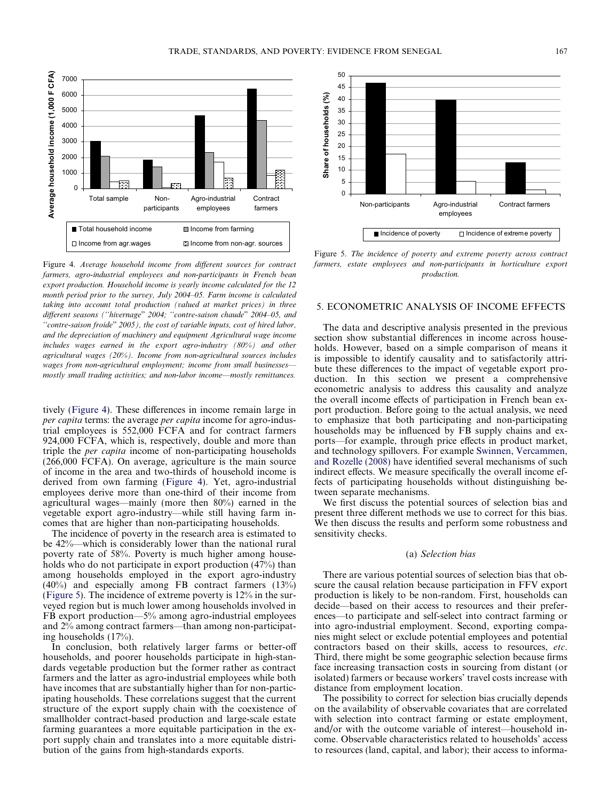

Figure 4. Average household income from different sources for contract farmers, agro-industrial employees and non-participants in French bean export production. Household income is yearly income calculated for the 12 month period prior to the survey, July 2004–05. Farm income is calculated taking into account total production (valued at market prices) in three different seasons (''hivernage" 2004; ''contre-saison chaude" 2004–05, and ''contre-saison froide" 2005), the cost of variable inputs, cost of hired labor, and the depreciation of machinery and equipment Agricultural wage income includes wages earned in the export agro-industry (80%) and other agricultural wages (20%). Income from non-agricultural sources includes wages from non-agricultural employment; income from small businesses mostly small trading activities; and non-labor income—mostly remittances.

tively (Figure 4). These differences in income remain large in per capita terms: the average per capita income for agro-industrial employees is 552,000 FCFA and for contract farmers 924,000 FCFA, which is, respectively, double and more than triple the per capita income of non-participating households (266,000 FCFA). On average, agriculture is the main source of income in the area and two-thirds of household income is derived from own farming (Figure 4). Yet, agro-industrial employees derive more than one-third of their income from agricultural wages—mainly (more then 80%) earned in the vegetable export agro-industry—while still having farm incomes that are higher than non-participating households.

The incidence of poverty in the research area is estimated to be 42%—which is considerably lower than the national rural poverty rate of 58%. Poverty is much higher among households who do not participate in export production (47%) than among households employed in the export agro-industry (40%) and especially among FB contract farmers (13%) (Figure 5). The incidence of extreme poverty is 12% in the surveyed region but is much lower among households involved in FB export production—5% among agro-industrial employees and 2% among contract farmers—than among non-participating households (17%).

In conclusion, both relatively larger farms or better-off households, and poorer households participate in high-standards vegetable production but the former rather as contract farmers and the latter as agro-industrial employees while both have incomes that are substantially higher than for non-participating households. These correlations suggest that the current structure of the export supply chain with the coexistence of smallholder contract-based production and large-scale estate farming guarantees a more equitable participation in the export supply chain and translates into a more equitable distribution of the gains from high-standards exports.



Figure 5. The incidence of poverty and extreme poverty across contract farmers, estate employees and non-participants in horticulture export production.

### 5. ECONOMETRIC ANALYSIS OF INCOME EFFECTS

The data and descriptive analysis presented in the previous section show substantial differences in income across households. However, based on a simple comparison of means it is impossible to identify causality and to satisfactorily attribute these differences to the impact of vegetable export production. In this section we present a comprehensive econometric analysis to address this causality and analyze the overall income effects of participation in French bean export production. Before going to the actual analysis, we need to emphasize that both participating and non-participating households may be influenced by FB supply chains and exports—for example, through price effects in product market, and technology spillovers. For example [Swinnen, Vercammen,](#page-15-0) [and Rozelle \(2008\)](#page-15-0) have identified several mechanisms of such indirect effects. We measure specifically the overall income effects of participating households without distinguishing between separate mechanisms.

We first discuss the potential sources of selection bias and present three different methods we use to correct for this bias. We then discuss the results and perform some robustness and sensitivity checks.

#### (a) Selection bias

There are various potential sources of selection bias that obscure the causal relation because participation in FFV export production is likely to be non-random. First, households can decide—based on their access to resources and their preferences—to participate and self-select into contract farming or into agro-industrial employment. Second, exporting companies might select or exclude potential employees and potential contractors based on their skills, access to resources, etc. Third, there might be some geographic selection because firms face increasing transaction costs in sourcing from distant (or isolated) farmers or because workers' travel costs increase with distance from employment location.

The possibility to correct for selection bias crucially depends on the availability of observable covariates that are correlated with selection into contract farming or estate employment, and/or with the outcome variable of interest—household income. Observable characteristics related to households' access to resources (land, capital, and labor); their access to informa-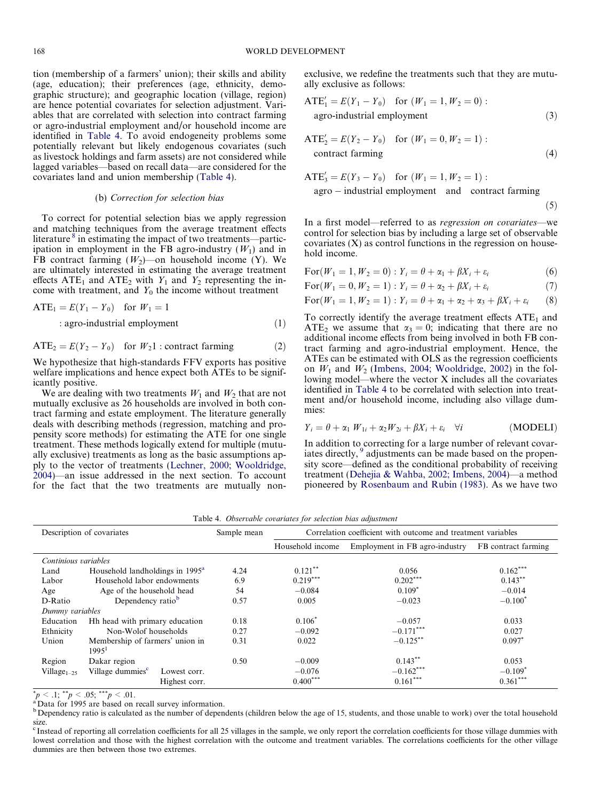tion (membership of a farmers' union); their skills and ability (age, education); their preferences (age, ethnicity, demographic structure); and geographic location (village, region) are hence potential covariates for selection adjustment. Variables that are correlated with selection into contract farming or agro-industrial employment and/or household income are identified in Table 4. To avoid endogeneity problems some potentially relevant but likely endogenous covariates (such as livestock holdings and farm assets) are not considered while lagged variables—based on recall data—are considered for the covariates land and union membership (Table 4).

## (b) Correction for selection bias

To correct for potential selection bias we apply regression and matching techniques from the average treatment effects literature<sup>8</sup> in estimating the impact of two treatments—participation in employment in the FB agro-industry  $(W_1)$  and in FB contract farming  $(W_2)$ —on household income  $(Y)$ . We are ultimately interested in estimating the average treatment effects  $ATE<sub>1</sub>$  and  $ATE<sub>2</sub>$  with  $Y<sub>1</sub>$  and  $Y<sub>2</sub>$  representing the income with treatment, and  $Y_0$  the income without treatment

$$
ATE_1 = E(Y_1 - Y_0) \quad \text{for } W_1 = 1
$$

 $: a gro-industrial employment$  (1)

$$
ATE2 = E(Y2 - Y0) for W21: contract farming (2)
$$

We hypothesize that high-standards FFV exports has positive welfare implications and hence expect both ATEs to be significantly positive.

We are dealing with two treatments  $W_1$  and  $W_2$  that are not mutually exclusive as 26 households are involved in both contract farming and estate employment. The literature generally deals with describing methods (regression, matching and propensity score methods) for estimating the ATE for one single treatment. These methods logically extend for multiple (mutually exclusive) treatments as long as the basic assumptions apply to the vector of treatments ([Lechner, 2000; Wooldridge,](#page-14-0) [2004\)](#page-14-0)—an issue addressed in the next section. To account for the fact that the two treatments are mutually nonexclusive, we redefine the treatments such that they are mutually exclusive as follows:

$$
ATE'_1 = E(Y_1 - Y_0) \quad \text{for } (W_1 = 1, W_2 = 0) :
$$
  
agro-industrial employment (3)

$$
ATE'_2 = E(Y_2 - Y_0) \quad \text{for } (W_1 = 0, W_2 = 1) :
$$
  
contract farming (4)

$$
ATE'_3 = E(Y_3 - Y_0) \text{ for } (W_1 = 1, W_2 = 1):
$$
  
3000 = industrial employment and contract farm

agro - industrial employment and contract farming

 $(5)$ 

In a first model—referred to as regression on covariates—we control for selection bias by including a large set of observable  $covariates  $(X)$  as control functions in the regression on house$ hold income.

For 
$$
(W_1 = 1, W_2 = 0)
$$
:  $Y_i = \theta + \alpha_1 + \beta X_i + \varepsilon_i$  (6)

$$
For(W1 = 0, W2 = 1): Yi = \theta + \alpha_2 + \beta X_i + \varepsilon_i
$$
\n(7)

For 
$$
(W_1 = 1, W_2 = 1)
$$
:  $Y_i = \theta + \alpha_1 + \alpha_2 + \alpha_3 + \beta X_i + \varepsilon_i$  (8)

To correctly identify the average treatment effects  $ATE<sub>1</sub>$  and ATE<sub>2</sub> we assume that  $\alpha_3 = 0$ ; indicating that there are no additional income effects from being involved in both FB contract farming and agro-industrial employment. Hence, the ATEs can be estimated with OLS as the regression coefficients on  $W_1$  and  $W_2$  ([Imbens, 2004; Wooldridge, 2002](#page-14-0)) in the following model—where the vector X includes all the covariates identified in Table 4 to be correlated with selection into treatment and/or household income, including also village dummies:

$$
Y_i = \theta + \alpha_1 W_{1i} + \alpha_2 W_{2i} + \beta X_i + \varepsilon_i \quad \forall i
$$
 (MODELI)

In addition to correcting for a large number of relevant covariates directly,<sup>9</sup> adjustments can be made based on the propensity score—defined as the conditional probability of receiving treatment ([Dehejia & Wahba, 2002; Imbens, 2004](#page-14-0))—a method pioneered by [Rosenbaum and Rubin \(1983\).](#page-15-0) As we have two

| Table 4. Observable covariates for selection bias adjustment |                                              |             |                                                              |                                |                     |
|--------------------------------------------------------------|----------------------------------------------|-------------|--------------------------------------------------------------|--------------------------------|---------------------|
|                                                              | Description of covariates                    | Sample mean | Correlation coefficient with outcome and treatment variables |                                |                     |
|                                                              |                                              |             | Household income                                             | Employment in FB agro-industry | FB contract farming |
| Continious variables                                         |                                              |             |                                                              |                                |                     |
| Land                                                         | Household landholdings in 1995 <sup>a</sup>  | 4.24        | $0.121***$                                                   | 0.056                          | $0.162***$          |
| Labor                                                        | Household labor endowments                   | 6.9         | $0.219***$                                                   | $0.202***$                     | $0.143***$          |
| Age                                                          | Age of the household head                    | 54          | $-0.084$                                                     | $0.109*$                       | $-0.014$            |
| D-Ratio                                                      | Dependency ratio <sup>b</sup>                | 0.57        | 0.005                                                        | $-0.023$                       | $-0.100*$           |
| Dummy variables                                              |                                              |             |                                                              |                                |                     |
| Education                                                    | Hh head with primary education               | 0.18        | $0.106*$                                                     | $-0.057$                       | 0.033               |
| Ethnicity                                                    | Non-Wolof households                         | 0.27        | $-0.092$                                                     | $-0.171***$                    | 0.027               |
| Union                                                        | Membership of farmers' union in<br>$1995^1$  | 0.31        | 0.022                                                        | $-0.125***$                    | $0.097*$            |
| Region                                                       | Dakar region                                 | 0.50        | $-0.009$                                                     | $0.143***$                     | 0.053               |
| $Village_{1-25}$                                             | Village dummies <sup>c</sup><br>Lowest corr. |             | $-0.076$                                                     | $-0.162***$                    | $-0.109*$           |
|                                                              | Highest corr.                                |             | $0.400***$                                                   | $0.161***$                     | $0.361***$          |

 $p^*$  < .1; \*\*p < .05; \*\*\*p < .01.<br>
<sup>a</sup> Data for 1995 are based on recall survey information.

<sup>b</sup> Dependency ratio is calculated as the number of dependents (children below the age of 15, students, and those unable to work) over the total household size.

<sup>c</sup> Instead of reporting all correlation coefficients for all 25 villages in the sample, we only report the correlation coefficients for those village dummies with lowest correlation and those with the highest correlation with the outcome and treatment variables. The correlations coefficients for the other village dummies are then between those two extremes.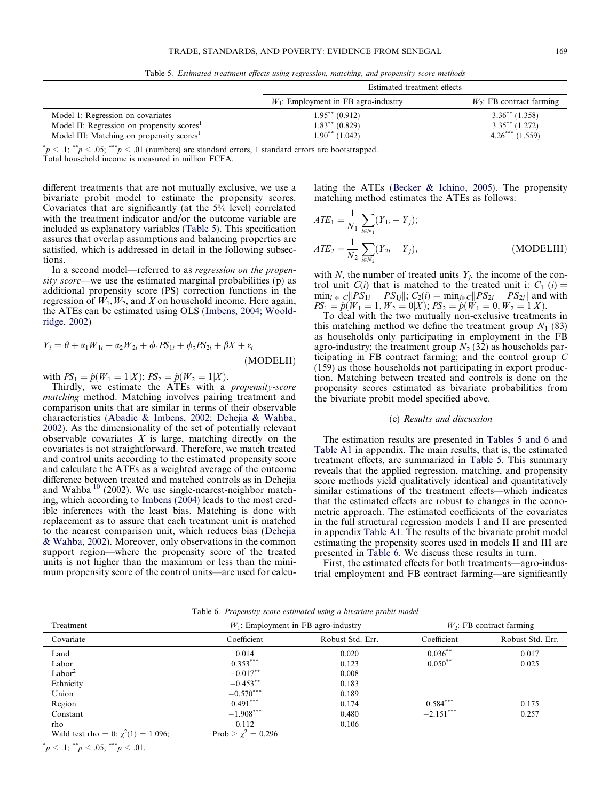Table 5. Estimated treatment effects using regression, matching, and propensity score methods

<span id="page-8-0"></span>

|                                                       | Estimated treatment effects            |                             |  |  |
|-------------------------------------------------------|----------------------------------------|-----------------------------|--|--|
|                                                       | $W_1$ : Employment in FB agro-industry | $W_2$ : FB contract farming |  |  |
| Model 1: Regression on covariates                     | $1.95***(0.912)$                       | $3.36^{**}$ (1.358)         |  |  |
| Model II: Regression on propensity scores             | $1.83$ <sup>**</sup> $(0.829)$         | $3.35***(1.272)$            |  |  |
| Model III: Matching on propensity scores <sup>1</sup> | $1.90^{**}$ (1.042)                    | $4.26***(1.559)$            |  |  |

 $p^*p < 0.1$ ;  $p^*p < 0.05$ ;  $p^*p < 0.01$  (numbers) are standard errors, 1 standard errors are bootstrapped.

Total household income is measured in million FCFA.

different treatments that are not mutually exclusive, we use a bivariate probit model to estimate the propensity scores. Covariates that are significantly (at the  $5\%$  level) correlated with the treatment indicator and/or the outcome variable are included as explanatory variables (Table 5). This specification assures that overlap assumptions and balancing properties are satisfied, which is addressed in detail in the following subsections.

In a second model—referred to as regression on the propensity score—we use the estimated marginal probabilities (p) as additional propensity score (PS) correction functions in the regression of  $\hat{W}_1, W_2$ , and X on household income. Here again, the ATEs can be estimated using OLS ([Imbens, 2004; Woold](#page-14-0)[ridge, 2002](#page-14-0))

$$
Y_i = \theta + \alpha_1 W_{1i} + \alpha_2 W_{2i} + \phi_1 PS_{1i} + \phi_2 PS_{2i} + \beta X + \varepsilon_i
$$
\n(MODELII)

with  $PS_1 = \hat{p}(W_1 = 1|X)$ ;  $PS_2 = \hat{p}(W_2 = 1|X)$ .

Thirdly, we estimate the ATEs with a propensity-score matching method. Matching involves pairing treatment and comparison units that are similar in terms of their observable characteristics [\(Abadie & Imbens, 2002; Dehejia & Wahba,](#page-14-0) [2002](#page-14-0)). As the dimensionality of the set of potentially relevant observable covariates  $X$  is large, matching directly on the covariates is not straightforward. Therefore, we match treated and control units according to the estimated propensity score and calculate the ATEs as a weighted average of the outcome difference between treated and matched controls as in Dehejia and Wahba  $^{10}$  (2002). We use single-nearest-neighbor matching, which according to [Imbens \(2004\)](#page-14-0) leads to the most credible inferences with the least bias. Matching is done with replacement as to assure that each treatment unit is matched to the nearest comparison unit, which reduces bias [\(Dehejia](#page-14-0) [& Wahba, 2002\)](#page-14-0). Moreover, only observations in the common support region—where the propensity score of the treated units is not higher than the maximum or less than the minimum propensity score of the control units—are used for calculating the ATEs ([Becker & Ichino, 2005\)](#page-14-0). The propensity matching method estimates the ATEs as follows:

$$
ATE_1 = \frac{1}{N_1} \sum_{i \in N_1} (Y_{1i} - Y_j);
$$
  
\n
$$
ATE_2 = \frac{1}{N_2} \sum_{i \in N_2} (Y_{2i} - Y_j),
$$
 (MODELIII)

with N, the number of treated units  $Y_i$ , the income of the control unit  $C(i)$  that is matched to the treated unit i:  $C_1$  (i) =  $\min_{j \in C} \|PS_{1i} - PS_{1j}\|$ ;  $C_2(i) = \min_{j \in C} \|PS_{2i} - PS_{2j}\|$  and with  $PS_1 = \hat{p}(W_1 = 1, W_2 = 0|X); PS_2 = \hat{p}(W_1 = 0, W_2 = 1|X).$ 

To deal with the two mutually non-exclusive treatments in this matching method we define the treatment group  $N_1$  (83) as households only participating in employment in the FB agro-industry; the treatment group  $N_2$  (32) as households participating in FB contract farming; and the control group C (159) as those households not participating in export production. Matching between treated and controls is done on the propensity scores estimated as bivariate probabilities from the bivariate probit model specified above.

# (c) Results and discussion

The estimation results are presented in Tables 5 and 6 and [Table A1](#page-15-0) in appendix. The main results, that is, the estimated treatment effects, are summarized in Table 5. This summary reveals that the applied regression, matching, and propensity score methods yield qualitatively identical and quantitatively similar estimations of the treatment effects—which indicates that the estimated effects are robust to changes in the econometric approach. The estimated coefficients of the covariates in the full structural regression models I and II are presented in appendix [Table A1](#page-15-0). The results of the bivariate probit model estimating the propensity scores used in models II and III are presented in Table 6. We discuss these results in turn.

First, the estimated effects for both treatments—agro-industrial employment and FB contract farming—are significantly

|  | Table 6. Propensity score estimated using a bivariate probit model |  |  |
|--|--------------------------------------------------------------------|--|--|
|  |                                                                    |  |  |

| Treatment                                  | $W_1$ : Employment in FB agro-industry |                  | $W_2$ : FB contract farming |                  |
|--------------------------------------------|----------------------------------------|------------------|-----------------------------|------------------|
| Covariate                                  | Coefficient                            | Robust Std. Err. | Coefficient                 | Robust Std. Err. |
| Land                                       | 0.014                                  | 0.020            | $0.036^{**}$                | 0.017            |
| Labor                                      | $0.353***$                             | 0.123            | $0.050**$                   | 0.025            |
| Labor <sup>2</sup>                         | $-0.017***$                            | 0.008            |                             |                  |
| Ethnicity                                  | $-0.453$ **                            | 0.183            |                             |                  |
| Union                                      | $-0.570***$                            | 0.189            |                             |                  |
| Region                                     | $0.491***$                             | 0.174            | $0.584***$                  | 0.175            |
| Constant                                   | $-1.908***$                            | 0.480            | $-2.151***$                 | 0.257            |
| rho                                        | 0.112                                  | 0.106            |                             |                  |
| Wald test rho = 0: $\gamma^2(1) = 1.096$ ; | Prob > $\gamma^2 = 0.296$              |                  |                             |                  |

 $p < 0.1$ ;  $\binom{**}{p} < 0.05$ ;  $\binom{***}{p} < 0.01$ .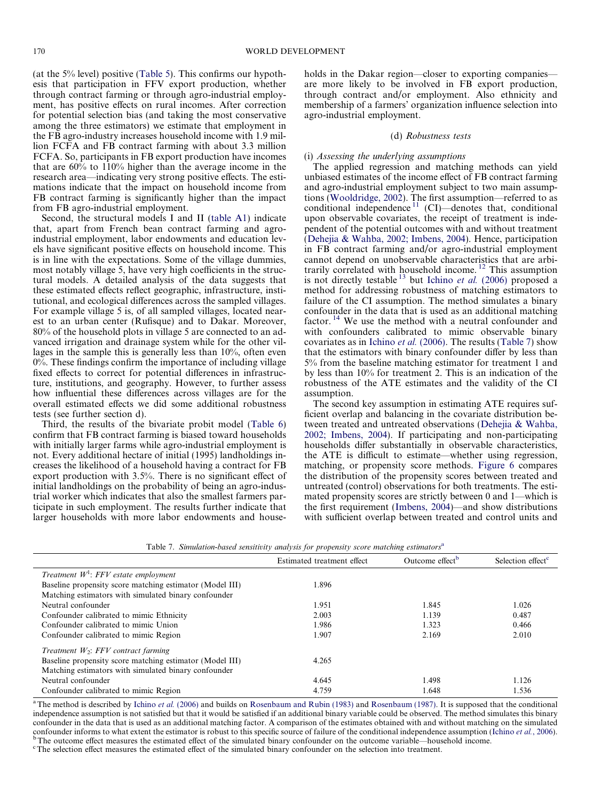(at the 5% level) positive [\(Table 5](#page-8-0)). This confirms our hypothesis that participation in FFV export production, whether through contract farming or through agro-industrial employment, has positive effects on rural incomes. After correction for potential selection bias (and taking the most conservative among the three estimators) we estimate that employment in the FB agro-industry increases household income with 1.9 million FCFA and FB contract farming with about 3.3 million FCFA. So, participants in FB export production have incomes that are  $60\%$  to  $110\%$  higher than the average income in the research area—indicating very strong positive effects. The estimations indicate that the impact on household income from FB contract farming is significantly higher than the impact from FB agro-industrial employment.

Second, the structural models I and II [\(table A1](#page-15-0)) indicate that, apart from French bean contract farming and agroindustrial employment, labor endowments and education levels have significant positive effects on household income. This is in line with the expectations. Some of the village dummies, most notably village 5, have very high coefficients in the structural models. A detailed analysis of the data suggests that these estimated effects reflect geographic, infrastructure, institutional, and ecological differences across the sampled villages. For example village 5 is, of all sampled villages, located nearest to an urban center (Rufisque) and to Dakar. Moreover, 80% of the household plots in village 5 are connected to an advanced irrigation and drainage system while for the other villages in the sample this is generally less than 10%, often even 0%. These findings confirm the importance of including village fixed effects to correct for potential differences in infrastructure, institutions, and geography. However, to further assess how influential these differences across villages are for the overall estimated effects we did some additional robustness tests (see further section d).

Third, the results of the bivariate probit model ([Table 6\)](#page-8-0) confirm that FB contract farming is biased toward households with initially larger farms while agro-industrial employment is not. Every additional hectare of initial (1995) landholdings increases the likelihood of a household having a contract for FB export production with 3.5%. There is no significant effect of initial landholdings on the probability of being an agro-industrial worker which indicates that also the smallest farmers participate in such employment. The results further indicate that larger households with more labor endowments and households in the Dakar region—closer to exporting companies are more likely to be involved in FB export production, through contract and/or employment. Also ethnicity and membership of a farmers' organization influence selection into agro-industrial employment.

## (d) Robustness tests

#### (i) Assessing the underlying assumptions

The applied regression and matching methods can yield unbiased estimates of the income effect of FB contract farming and agro-industrial employment subject to two main assump-tions [\(Wooldridge, 2002\)](#page-15-0). The first assumption—referred to as conditional independence  $\frac{11}{11}$  (CI)—denotes that, conditional upon observable covariates, the receipt of treatment is independent of the potential outcomes with and without treatment ([Dehejia & Wahba, 2002; Imbens, 2004](#page-14-0)). Hence, participation in FB contract farming and/or agro-industrial employment cannot depend on unobservable characteristics that are arbitrarily correlated with household income. <sup>12</sup> This assumption is not directly testable  $\frac{13}{2}$  but [Ichino](#page-14-0) *et al.* (2006) proposed a method for addressing robustness of matching estimators to failure of the CI assumption. The method simulates a binary confounder in the data that is used as an additional matching factor.<sup>14</sup> We use the method with a neutral confounder and with confounders calibrated to mimic observable binary covariates as in [Ichino](#page-14-0) et al. (2006). The results (Table 7) show that the estimators with binary confounder differ by less than 5% from the baseline matching estimator for treatment 1 and by less than 10% for treatment 2. This is an indication of the robustness of the ATE estimates and the validity of the CI assumption.

The second key assumption in estimating ATE requires sufficient overlap and balancing in the covariate distribution between treated and untreated observations ([Dehejia & Wahba,](#page-14-0) [2002; Imbens, 2004\)](#page-14-0). If participating and non-participating households differ substantially in observable characteristics, the ATE is difficult to estimate—whether using regression, matching, or propensity score methods. [Figure 6](#page-10-0) compares the distribution of the propensity scores between treated and untreated (control) observations for both treatments. The estimated propensity scores are strictly between 0 and 1—which is the first requirement ([Imbens, 2004](#page-14-0))—and show distributions with sufficient overlap between treated and control units and

|                                                          | Estimated treatment effect | Outcome effect <sup>b</sup> | Selection effect <sup>c</sup> |
|----------------------------------------------------------|----------------------------|-----------------------------|-------------------------------|
| Treatment $W^1$ : FFV estate employment                  |                            |                             |                               |
| Baseline propensity score matching estimator (Model III) | 1.896                      |                             |                               |
| Matching estimators with simulated binary confounder     |                            |                             |                               |
| Neutral confounder                                       | 1.951                      | 1.845                       | 1.026                         |
| Confounder calibrated to mimic Ethnicity                 | 2.003                      | 1.139                       | 0.487                         |
| Confounder calibrated to mimic Union                     | 1.986                      | 1.323                       | 0.466                         |
| Confounder calibrated to mimic Region                    | 1.907                      | 2.169                       | 2.010                         |
| Treatment $W_2$ : FFV contract farming                   |                            |                             |                               |
| Baseline propensity score matching estimator (Model III) | 4.265                      |                             |                               |
| Matching estimators with simulated binary confounder     |                            |                             |                               |
| Neutral confounder                                       | 4.645                      | 1.498                       | 1.126                         |
| Confounder calibrated to mimic Region                    | 4.759                      | 1.648                       | 1.536                         |

Table 7. Simulation-based sensitivity analysis for propensity score matching estimators<sup>a</sup>

<sup>a</sup>The method is described by [Ichino](#page-14-0) et al. (2006) and builds on [Rosenbaum and Rubin \(1983\)](#page-15-0) and [Rosenbaum \(1987\)](#page-15-0). It is supposed that the conditional independence assumption is not satisfied but that it would be satisfied if an additional binary variable could be observed. The method simulates this binary confounder in the data that is used as an additional matching factor. A comparison of the estimates obtained with and without matching on the simulated confounder informs to what extent the estimator is robust to this specific source of failure of the conditional independence assumption ([Ichino](#page-14-0) et al., 2006).<br><sup>b</sup> The outcome effect measures the estimated effect of the si

<sup>c</sup>The selection effect measures the estimated effect of the simulated binary confounder on the selection into treatment.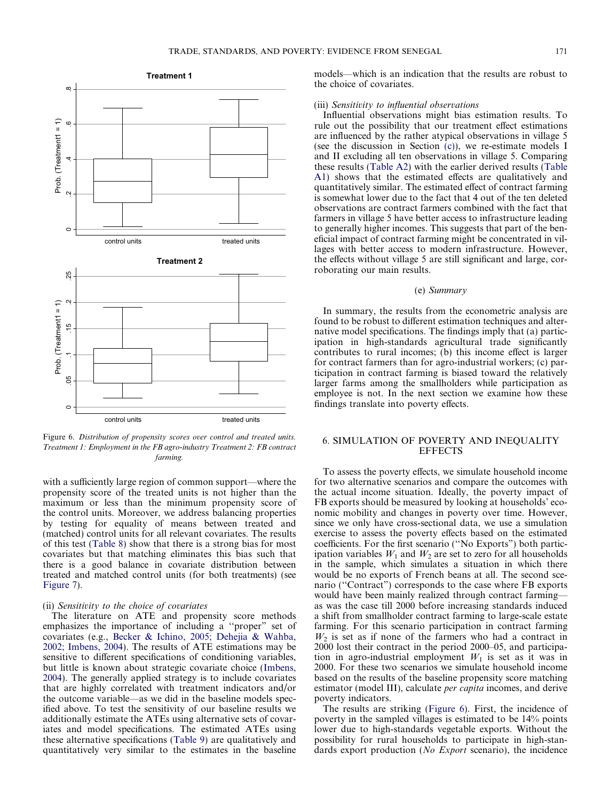<span id="page-10-0"></span>

Figure 6. Distribution of propensity scores over control and treated units. Treatment 1: Employment in the FB agro-industry Treatment 2: FB contract farming.

with a sufficiently large region of common support—where the propensity score of the treated units is not higher than the maximum or less than the minimum propensity score of the control units. Moreover, we address balancing properties by testing for equality of means between treated and (matched) control units for all relevant covariates. The results of this test ([Table 8](#page-11-0)) show that there is a strong bias for most covariates but that matching eliminates this bias such that there is a good balance in covariate distribution between treated and matched control units (for both treatments) (see [Figure 7](#page-12-0)).

#### (ii) Sensitivity to the choice of covariates

The literature on ATE and propensity score methods emphasizes the importance of including a ''proper" set of covariates (e.g., [Becker & Ichino, 2005; Dehejia & Wahba,](#page-14-0) [2002; Imbens, 2004\)](#page-14-0). The results of ATE estimations may be sensitive to different specifications of conditioning variables, but little is known about strategic covariate choice [\(Imbens,](#page-14-0) [2004](#page-14-0)). The generally applied strategy is to include covariates that are highly correlated with treatment indicators and/or the outcome variable—as we did in the baseline models specified above. To test the sensitivity of our baseline results we additionally estimate the ATEs using alternative sets of covariates and model specifications. The estimated ATEs using these alternative specifications [\(Table 9\)](#page-12-0) are qualitatively and quantitatively very similar to the estimates in the baseline models—which is an indication that the results are robust to the choice of covariates.

#### (iii) Sensitivity to influential observations

Influential observations might bias estimation results. To rule out the possibility that our treatment effect estimations are influenced by the rather atypical observations in village 5 (see the discussion in Section (c)), we re-estimate models I and II excluding all ten observations in village 5. Comparing these results ([Table A2\)](#page-16-0) with the earlier derived results ([Table](#page-15-0) [A1\)](#page-15-0) shows that the estimated effects are qualitatively and quantitatively similar. The estimated effect of contract farming is somewhat lower due to the fact that 4 out of the ten deleted observations are contract farmers combined with the fact that farmers in village 5 have better access to infrastructure leading to generally higher incomes. This suggests that part of the beneficial impact of contract farming might be concentrated in villages with better access to modern infrastructure. However, the effects without village 5 are still significant and large, corroborating our main results.

#### (e) Summary

In summary, the results from the econometric analysis are found to be robust to different estimation techniques and alternative model specifications. The findings imply that (a) participation in high-standards agricultural trade significantly contributes to rural incomes; (b) this income effect is larger for contract farmers than for agro-industrial workers; (c) participation in contract farming is biased toward the relatively larger farms among the smallholders while participation as employee is not. In the next section we examine how these findings translate into poverty effects.

# 6. SIMULATION OF POVERTY AND INEQUALITY **EFFECTS**

To assess the poverty effects, we simulate household income for two alternative scenarios and compare the outcomes with the actual income situation. Ideally, the poverty impact of FB exports should be measured by looking at households' economic mobility and changes in poverty over time. However, since we only have cross-sectional data, we use a simulation exercise to assess the poverty effects based on the estimated coefficients. For the first scenario (''No Exports") both participation variables  $W_1$  and  $W_2$  are set to zero for all households in the sample, which simulates a situation in which there would be no exports of French beans at all. The second scenario (''Contract") corresponds to the case where FB exports would have been mainly realized through contract farming as was the case till 2000 before increasing standards induced a shift from smallholder contract farming to large-scale estate farming. For this scenario participation in contract farming  $W_2$  is set as if none of the farmers who had a contract in 2000 lost their contract in the period 2000–05, and participation in agro-industrial employment  $W_1$  is set as it was in 2000. For these two scenarios we simulate household income based on the results of the baseline propensity score matching estimator (model III), calculate per capita incomes, and derive poverty indicators.

The results are striking (Figure 6). First, the incidence of poverty in the sampled villages is estimated to be 14% points lower due to high-standards vegetable exports. Without the possibility for rural households to participate in high-standards export production (No Export scenario), the incidence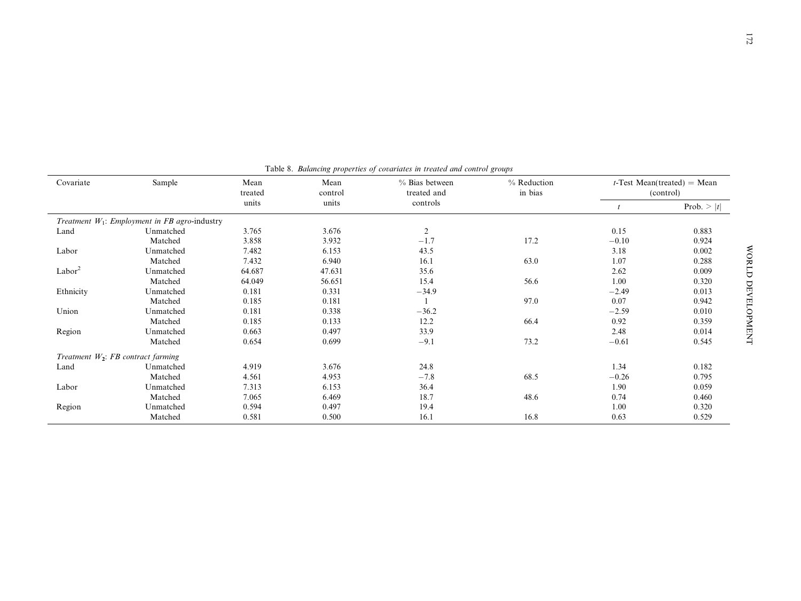<span id="page-11-0"></span>

| Covariate          | Sample                                           | Mean<br>treated | Mean<br>control | Tuore 6. Balancing properties of colaraties in treated and control groups<br>% Bias between<br>treated and | % Reduction<br>in bias | $t$ -Test Mean(treated) = Mean<br>(control) |               |
|--------------------|--------------------------------------------------|-----------------|-----------------|------------------------------------------------------------------------------------------------------------|------------------------|---------------------------------------------|---------------|
|                    |                                                  | units           | units           | controls                                                                                                   |                        |                                             | Prob. $>  t $ |
|                    | Treatment $W_1$ : Employment in FB agro-industry |                 |                 |                                                                                                            |                        |                                             |               |
| Land               | Unmatched                                        | 3.765           | 3.676           | 2                                                                                                          |                        | 0.15                                        | 0.883         |
|                    | Matched                                          | 3.858           | 3.932           | $-1.7$                                                                                                     | 17.2                   | $-0.10$                                     | 0.924         |
| Labor              | Unmatched                                        | 7.482           | 6.153           | 43.5                                                                                                       |                        | 3.18                                        | 0.002         |
|                    | Matched                                          | 7.432           | 6.940           | 16.1                                                                                                       | 63.0                   | 1.07                                        | 0.288         |
| Labor <sup>2</sup> | Unmatched                                        | 64.687          | 47.631          | 35.6                                                                                                       |                        | 2.62                                        | 0.009         |
|                    | Matched                                          | 64.049          | 56.651          | 15.4                                                                                                       | 56.6                   | 1.00                                        | 0.320         |
| Ethnicity          | Unmatched                                        | 0.181           | 0.331           | $-34.9$                                                                                                    |                        | $-2.49$                                     | 0.013         |
|                    | Matched                                          | 0.185           | 0.181           |                                                                                                            | 97.0                   | 0.07                                        | 0.942         |
| Union              | Unmatched                                        | 0.181           | 0.338           | $-36.2$                                                                                                    |                        | $-2.59$                                     | 0.010         |
|                    | Matched                                          | 0.185           | 0.133           | 12.2                                                                                                       | 66.4                   | 0.92                                        | 0.359         |
| Region             | Unmatched                                        | 0.663           | 0.497           | 33.9                                                                                                       |                        | 2.48                                        | 0.014         |
|                    | Matched                                          | 0.654           | 0.699           | $-9.1$                                                                                                     | 73.2                   | $-0.61$                                     | 0.545         |
|                    | Treatment $W_2$ : FB contract farming            |                 |                 |                                                                                                            |                        |                                             |               |
| Land               | Unmatched                                        | 4.919           | 3.676           | 24.8                                                                                                       |                        | 1.34                                        | 0.182         |
|                    | Matched                                          | 4.561           | 4.953           | $-7.8$                                                                                                     | 68.5                   | $-0.26$                                     | 0.795         |
| Labor              | Unmatched                                        | 7.313           | 6.153           | 36.4                                                                                                       |                        | 1.90                                        | 0.059         |
|                    | Matched                                          | 7.065           | 6.469           | 18.7                                                                                                       | 48.6                   | 0.74                                        | 0.460         |
| Region             | Unmatched                                        | 0.594           | 0.497           | 19.4                                                                                                       |                        | 1.00                                        | 0.320         |
|                    | Matched                                          | 0.581           | 0.500           | 16.1                                                                                                       | 16.8                   | 0.63                                        | 0.529         |

Table 8. Balancing properties of covariates in treated and control groups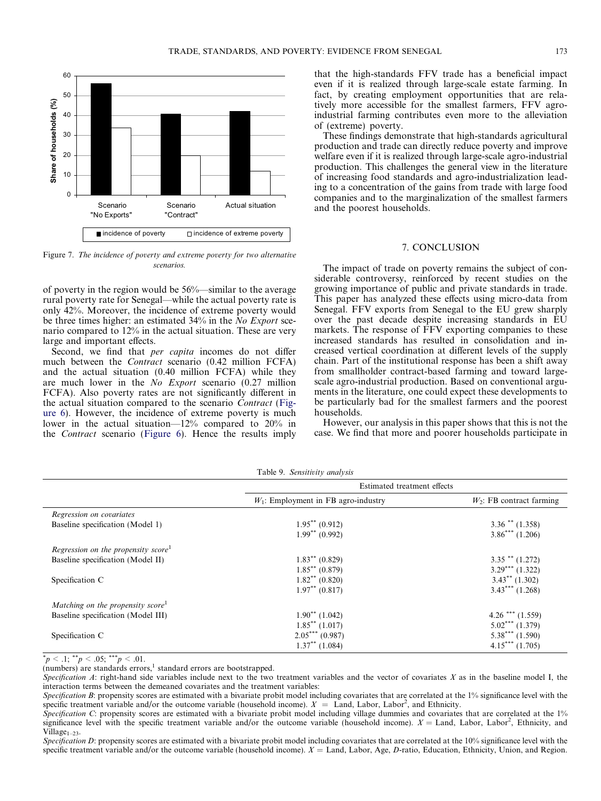<span id="page-12-0"></span>

Figure 7. The incidence of poverty and extreme poverty for two alternative scenarios.

of poverty in the region would be 56%—similar to the average rural poverty rate for Senegal—while the actual poverty rate is only 42%. Moreover, the incidence of extreme poverty would be three times higher: an estimated 34% in the No Export scenario compared to 12% in the actual situation. These are very large and important effects.

Second, we find that *per capita* incomes do not differ much between the Contract scenario (0.42 million FCFA) and the actual situation (0.40 million FCFA) while they are much lower in the No Export scenario (0.27 million FCFA). Also poverty rates are not significantly different in the actual situation compared to the scenario Contract ([Fig](#page-10-0)[ure 6\)](#page-10-0). However, the incidence of extreme poverty is much lower in the actual situation—12% compared to 20% in the Contract scenario ([Figure 6](#page-10-0)). Hence the results imply that the high-standards FFV trade has a beneficial impact even if it is realized through large-scale estate farming. In fact, by creating employment opportunities that are relatively more accessible for the smallest farmers, FFV agroindustrial farming contributes even more to the alleviation of (extreme) poverty.

These findings demonstrate that high-standards agricultural production and trade can directly reduce poverty and improve welfare even if it is realized through large-scale agro-industrial production. This challenges the general view in the literature of increasing food standards and agro-industrialization leading to a concentration of the gains from trade with large food companies and to the marginalization of the smallest farmers and the poorest households.

#### 7. CONCLUSION

The impact of trade on poverty remains the subject of considerable controversy, reinforced by recent studies on the growing importance of public and private standards in trade. This paper has analyzed these effects using micro-data from Senegal. FFV exports from Senegal to the EU grew sharply over the past decade despite increasing standards in EU markets. The response of FFV exporting companies to these increased standards has resulted in consolidation and increased vertical coordination at different levels of the supply chain. Part of the institutional response has been a shift away from smallholder contract-based farming and toward largescale agro-industrial production. Based on conventional arguments in the literature, one could expect these developments to be particularly bad for the smallest farmers and the poorest households.

However, our analysis in this paper shows that this is not the case. We find that more and poorer households participate in

| raon - Schouver andress                         |                                        |                             |  |  |
|-------------------------------------------------|----------------------------------------|-----------------------------|--|--|
|                                                 | Estimated treatment effects            |                             |  |  |
|                                                 | $W_1$ : Employment in FB agro-industry | $W_2$ : FB contract farming |  |  |
| Regression on covariates                        |                                        |                             |  |  |
| Baseline specification (Model 1)                | $1.95***(0.912)$                       | $3.36$ ** $(1.358)$         |  |  |
|                                                 | $1.99***(0.992)$                       | $3.86***(1.206)$            |  |  |
| Regression on the propensity score <sup>1</sup> |                                        |                             |  |  |
| Baseline specification (Model II)               | $1.83**$ (0.829)                       | $3.35$ ** $(1.272)$         |  |  |
|                                                 | $1.85***(0.879)$                       | $3.29***(1.322)$            |  |  |
| Specification C                                 | $1.82**$ (0.820)                       | $3.43***(1.302)$            |  |  |
|                                                 | $1.97^{\ast\ast}$ (0.817)              | $3.43***(1.268)$            |  |  |
| Matching on the propensity score <sup>1</sup>   |                                        |                             |  |  |
| Baseline specification (Model III)              | $1.90^{**}$ (1.042)                    | $4.26$ *** $(1.559)$        |  |  |
|                                                 | $1.85***(1.017)$                       | $5.02***(1.379)$            |  |  |
| Specification C                                 | $2.05***(0.987)$                       | $5.38***(1.590)$            |  |  |
|                                                 | $1.37***$ (1.084)                      | $4.15***(1.705)$            |  |  |

Table 9. Sensitivity analysis

 $p < 0.1$ ;  $\binom{**}{p} < 0.05$ ;  $\binom{***}{p} < 0.01$ .

 $(numbers)$  are standards errors,<sup>1</sup> standard errors are bootstrapped.

Specification A: right-hand side variables include next to the two treatment variables and the vector of covariates  $X$  as in the baseline model I, the interaction terms between the demeaned covariates and the treatment variables:

Specification B: propensity scores are estimated with a bivariate probit model including covariates that are correlated at the 1% significance level with the specific treatment variable and/or the outcome variable (household income).  $X =$  Land, Labor, Labor<sup>2</sup>, and Ethnicity.

Specification C: propensity scores are estimated with a bivariate probit model including village dummies and covariates that are correlated at the  $1\%$ significance level with the specific treatment variable and/or the outcome variable (household income).  $X =$  Land, Labor, Labor<sup>2</sup>, Ethnicity, and Village $_{1-23}$ .

Specification D: propensity scores are estimated with a bivariate probit model including covariates that are correlated at the 10% significance level with the specific treatment variable and/or the outcome variable (household income).  $X =$  Land, Labor, Age, D-ratio, Education, Ethnicity, Union, and Region.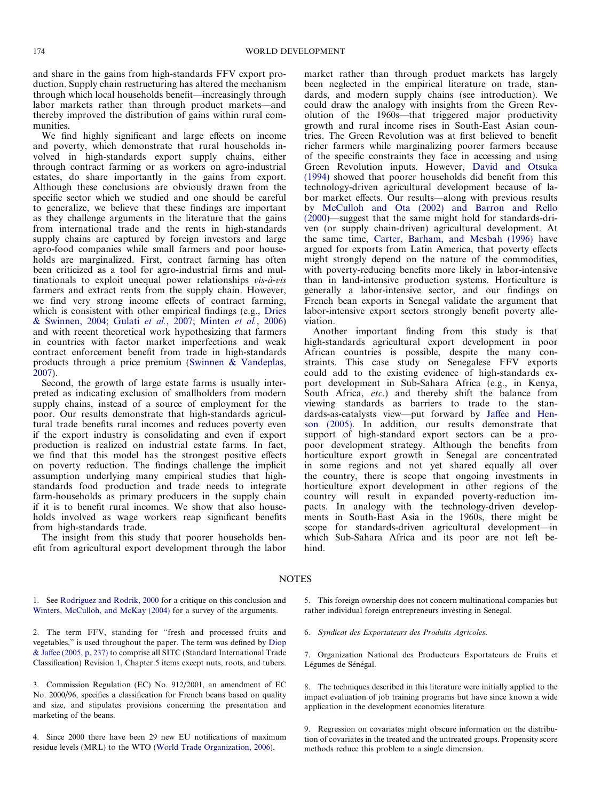and share in the gains from high-standards FFV export production. Supply chain restructuring has altered the mechanism through which local households benefit—increasingly through labor markets rather than through product markets—and thereby improved the distribution of gains within rural communities.

We find highly significant and large effects on income and poverty, which demonstrate that rural households involved in high-standards export supply chains, either through contract farming or as workers on agro-industrial estates, do share importantly in the gains from export. Although these conclusions are obviously drawn from the specific sector which we studied and one should be careful to generalize, we believe that these findings are important as they challenge arguments in the literature that the gains from international trade and the rents in high-standards supply chains are captured by foreign investors and large agro-food companies while small farmers and poor households are marginalized. First, contract farming has often been criticized as a tool for agro-industrial firms and multinationals to exploit unequal power relationships  $vis-\hat{a}-vis$ farmers and extract rents from the supply chain. However, we find very strong income effects of contract farming, which is consistent with other empirical findings (e.g., [Dries](#page-14-0) [& Swinnen, 2004; Gulati](#page-14-0) et al., 2007; Minten et al., 2006) and with recent theoretical work hypothesizing that farmers in countries with factor market imperfections and weak contract enforcement benefit from trade in high-standards products through a price premium ([Swinnen & Vandeplas,](#page-15-0) [2007\)](#page-15-0).

Second, the growth of large estate farms is usually interpreted as indicating exclusion of smallholders from modern supply chains, instead of a source of employment for the poor. Our results demonstrate that high-standards agricultural trade benefits rural incomes and reduces poverty even if the export industry is consolidating and even if export production is realized on industrial estate farms. In fact, we find that this model has the strongest positive effects on poverty reduction. The findings challenge the implicit assumption underlying many empirical studies that highstandards food production and trade needs to integrate farm-households as primary producers in the supply chain if it is to benefit rural incomes. We show that also households involved as wage workers reap significant benefits from high-standards trade.

The insight from this study that poorer households benefit from agricultural export development through the labor market rather than through product markets has largely been neglected in the empirical literature on trade, standards, and modern supply chains (see introduction). We could draw the analogy with insights from the Green Revolution of the 1960s—that triggered major productivity growth and rural income rises in South-East Asian countries. The Green Revolution was at first believed to benefit richer farmers while marginalizing poorer farmers because of the specific constraints they face in accessing and using Green Revolution inputs. However, [David and Otsuka](#page-14-0) [\(1994\)](#page-14-0) showed that poorer households did benefit from this technology-driven agricultural development because of labor market effects. Our results—along with previous results by [McCulloh and Ota \(2002\) and Barron and Rello](#page-15-0) [\(2000\)—](#page-15-0)suggest that the same might hold for standards-driven (or supply chain-driven) agricultural development. At the same time, [Carter, Barham, and Mesbah \(1996\)](#page-14-0) have argued for exports from Latin America, that poverty effects might strongly depend on the nature of the commodities, with poverty-reducing benefits more likely in labor-intensive than in land-intensive production systems. Horticulture is generally a labor-intensive sector, and our findings on French bean exports in Senegal validate the argument that labor-intensive export sectors strongly benefit poverty alleviation.

Another important finding from this study is that high-standards agricultural export development in poor African countries is possible, despite the many constraints. This case study on Senegalese FFV exports could add to the existing evidence of high-standards export development in Sub-Sahara Africa (e.g., in Kenya, South Africa, etc.) and thereby shift the balance from viewing standards as barriers to trade to the standards-as-catalysts view—put forward by [Jaffee and Hen](#page-14-0)[son \(2005\)](#page-14-0). In addition, our results demonstrate that support of high-standard export sectors can be a propoor development strategy. Although the benefits from horticulture export growth in Senegal are concentrated in some regions and not yet shared equally all over the country, there is scope that ongoing investments in horticulture export development in other regions of the country will result in expanded poverty-reduction impacts. In analogy with the technology-driven developments in South-East Asia in the 1960s, there might be scope for standards-driven agricultural development—in which Sub-Sahara Africa and its poor are not left behind.

#### **NOTES**

1. See [Rodriguez and Rodrik, 2000](#page-15-0) for a critique on this conclusion and [Winters, McCulloh, and McKay \(2004\)](#page-15-0) for a survey of the arguments.

2. The term FFV, standing for ''fresh and processed fruits and vegetables," is used throughout the paper. The term was defined by [Diop](#page-14-0) [& Jaffee \(2005, p. 237\)](#page-14-0) to comprise all SITC (Standard International Trade Classification) Revision 1, Chapter 5 items except nuts, roots, and tubers.

3. Commission Regulation (EC) No. 912/2001, an amendment of EC No. 2000/96, specifies a classification for French beans based on quality and size, and stipulates provisions concerning the presentation and marketing of the beans.

4. Since 2000 there have been 29 new EU notifications of maximum residue levels (MRL) to the WTO [\(World Trade Organization, 2006\)](#page-15-0).

5. This foreign ownership does not concern multinational companies but rather individual foreign entrepreneurs investing in Senegal.

6. Syndicat des Exportateurs des Produits Agricoles.

7. Organization National des Producteurs Exportateurs de Fruits et Légumes de Sénégal.

8. The techniques described in this literature were initially applied to the impact evaluation of job training programs but have since known a wide application in the development economics literature.

9. Regression on covariates might obscure information on the distribution of covariates in the treated and the untreated groups. Propensity score methods reduce this problem to a single dimension.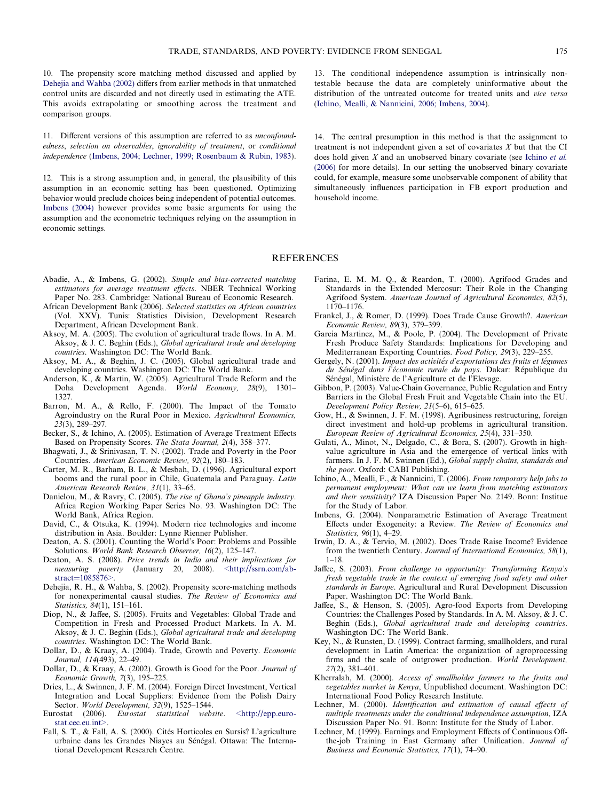<span id="page-14-0"></span>10. The propensity score matching method discussed and applied by Dehejia and Wahba (2002) differs from earlier methods in that unmatched control units are discarded and not directly used in estimating the ATE. This avoids extrapolating or smoothing across the treatment and comparison groups.

11. Different versions of this assumption are referred to as unconfoundedness, selection on observables, ignorability of treatment, or conditional independence (Imbens, 2004; Lechner, 1999; Rosenbaum & Rubin, 1983).

12. This is a strong assumption and, in general, the plausibility of this assumption in an economic setting has been questioned. Optimizing behavior would preclude choices being independent of potential outcomes. Imbens (2004) however provides some basic arguments for using the assumption and the econometric techniques relying on the assumption in economic settings.

13. The conditional independence assumption is intrinsically nontestable because the data are completely uninformative about the distribution of the untreated outcome for treated units and *vice versa* (Ichino, Mealli, & Nannicini, 2006; Imbens, 2004).

14. The central presumption in this method is that the assignment to treatment is not independent given a set of covariates  $X$  but that the CI does hold given X and an unobserved binary covariate (see Ichino et al. (2006) for more details). In our setting the unobserved binary covariate could, for example, measure some unobservable component of ability that simultaneously influences participation in FB export production and household income.

#### **REFERENCES**

- Abadie, A., & Imbens, G. (2002). Simple and bias-corrected matching estimators for average treatment effects. NBER Technical Working Paper No. 283. Cambridge: National Bureau of Economic Research.
- African Development Bank (2006). Selected statistics on African countries (Vol. XXV). Tunis: Statistics Division, Development Research Department, African Development Bank.
- Aksoy, M. A. (2005). The evolution of agricultural trade flows. In A. M. Aksoy, & J. C. Beghin (Eds.), Global agricultural trade and developing countries. Washington DC: The World Bank.
- Aksoy, M. A., & Beghin, J. C. (2005). Global agricultural trade and developing countries. Washington DC: The World Bank.
- Anderson, K., & Martin, W. (2005). Agricultural Trade Reform and the Doha Development Agenda. World Economy, 28(9), 1301– 1327.
- Barron, M. A., & Rello, F. (2000). The Impact of the Tomato Agroindustry on the Rural Poor in Mexico. Agricultural Economics, 23(3), 289–297.
- Becker, S., & Ichino, A. (2005). Estimation of Average Treatment Effects Based on Propensity Scores. The Stata Journal, 2(4), 358–377.
- Bhagwati, J., & Srinivasan, T. N. (2002). Trade and Poverty in the Poor Countries. American Economic Review, 92(2), 180–183.
- Carter, M. R., Barham, B. L., & Mesbah, D. (1996). Agricultural export booms and the rural poor in Chile, Guatemala and Paraguay. Latin American Research Review, 31(1), 33–65.
- Danielou, M., & Ravry, C. (2005). The rise of Ghana's pineapple industry. Africa Region Working Paper Series No. 93. Washington DC: The World Bank, Africa Region.
- David, C., & Otsuka, K. (1994). Modern rice technologies and income distribution in Asia. Boulder: Lynne Rienner Publisher.
- Deaton, A. S. (2001). Counting the World's Poor: Problems and Possible Solutions. World Bank Research Observer, 16(2), 125–147.
- Deaton, A. S. (2008). Price trends in India and their implications for measuring poverty (January 20, 2008). [<http://ssrn.com/ab](http://ssrn.com/abstract=1085876)[stract=1085876>](http://ssrn.com/abstract=1085876)
- Dehejia, R. H., & Wahba, S. (2002). Propensity score-matching methods for nonexperimental causal studies. The Review of Economics and Statistics, 84(1), 151–161.
- Diop, N., & Jaffee, S. (2005). Fruits and Vegetables: Global Trade and Competition in Fresh and Processed Product Markets. In A. M. Aksoy, & J. C. Beghin (Eds.), Global agricultural trade and developing countries. Washington DC: The World Bank.
- Dollar, D., & Kraay, A. (2004). Trade, Growth and Poverty. Economic Journal, 114(493), 22–49.
- Dollar, D., & Kraay, A. (2002). Growth is Good for the Poor. Journal of Economic Growth, 7(3), 195–225.
- Dries, L., & Swinnen, J. F. M. (2004). Foreign Direct Investment, Vertical Integration and Local Suppliers: Evidence from the Polish Dairy Sector. World Development, 32(9), 1525–1544.
- Eurostat (2006). Eurostat statistical website. [<http://epp.euro](http://epp.eurostat.cec.eu.int)[stat.cec.eu.int>.](http://epp.eurostat.cec.eu.int)
- Fall, S. T., & Fall, A. S. (2000). Cités Horticoles en Sursis? L'agriculture urbaine dans les Grandes Niayes au Sénégal. Ottawa: The International Development Research Centre.
- Farina, E. M. M. Q., & Reardon, T. (2000). Agrifood Grades and Standards in the Extended Mercosur: Their Role in the Changing Agrifood System. American Journal of Agricultural Economics, 82(5), 1170–1176.
- Frankel, J., & Romer, D. (1999). Does Trade Cause Growth?. American Economic Review, 89(3), 379–399.
- Garcia Martinez, M., & Poole, P. (2004). The Development of Private Fresh Produce Safety Standards: Implications for Developing and Mediterranean Exporting Countries. Food Policy, 29(3), 229–255.
- Gergely, N. (2001). Impact des activités d'exportations des fruits et légumes du Sénégal dans l'économie rurale du pays. Dakar: République du Sénégal, Ministère de l'Agriculture et de l'Elevage.
- Gibbon, P. (2003). Value-Chain Governance, Public Regulation and Entry Barriers in the Global Fresh Fruit and Vegetable Chain into the EU. Development Policy Review, 21(5–6), 615–625.
- Gow, H., & Swinnen, J. F. M. (1998). Agribusiness restructuring, foreign direct investment and hold-up problems in agricultural transition. European Review of Agricultural Economics,  $25(4)$ ,  $331-350$ .
- Gulati, A., Minot, N., Delgado, C., & Bora, S. (2007). Growth in highvalue agriculture in Asia and the emergence of vertical links with farmers. In J. F. M. Swinnen (Ed.), Global supply chains, standards and the poor. Oxford: CABI Publishing.
- Ichino, A., Mealli, F., & Nannicini, T. (2006). From temporary help jobs to permanent employment: What can we learn from matching estimators and their sensitivity? IZA Discussion Paper No. 2149. Bonn: Institue for the Study of Labor.
- Imbens, G. (2004). Nonparametric Estimation of Average Treatment Effects under Exogeneity: a Review. The Review of Economics and Statistics, 96(1), 4–29.
- Irwin, D. A., & Tervio, M. (2002). Does Trade Raise Income? Evidence from the twentieth Century. Journal of International Economics, 58(1), 1–18.
- Jaffee, S. (2003). From challenge to opportunity: Transforming Kenya's fresh vegetable trade in the context of emerging food safety and other standards in Europe. Agricultural and Rural Development Discussion Paper. Washington DC: The World Bank.
- Jaffee, S., & Henson, S. (2005). Agro-food Exports from Developing Countries: the Challenges Posed by Standards. In A. M. Aksoy, & J. C. Beghin (Eds.), Global agricultural trade and developing countries. Washington DC: The World Bank.
- Key, N., & Runsten, D. (1999). Contract farming, smallholders, and rural development in Latin America: the organization of agroprocessing firms and the scale of outgrower production. World Development, 27(2), 381–401.
- Kherralah, M. (2000). Access of smallholder farmers to the fruits and vegetables market in Kenya, Unpublished document. Washington DC: International Food Policy Research Institute.
- Lechner, M. (2000). Identification and estimation of causal effects of multiple treatments under the conditional independence assumption, IZA Discussion Paper No. 91. Bonn: Institute for the Study of Labor.
- Lechner, M. (1999). Earnings and Employment Effects of Continuous Offthe-job Training in East Germany after Unification. Journal of Business and Economic Statistics, 17(1), 74–90.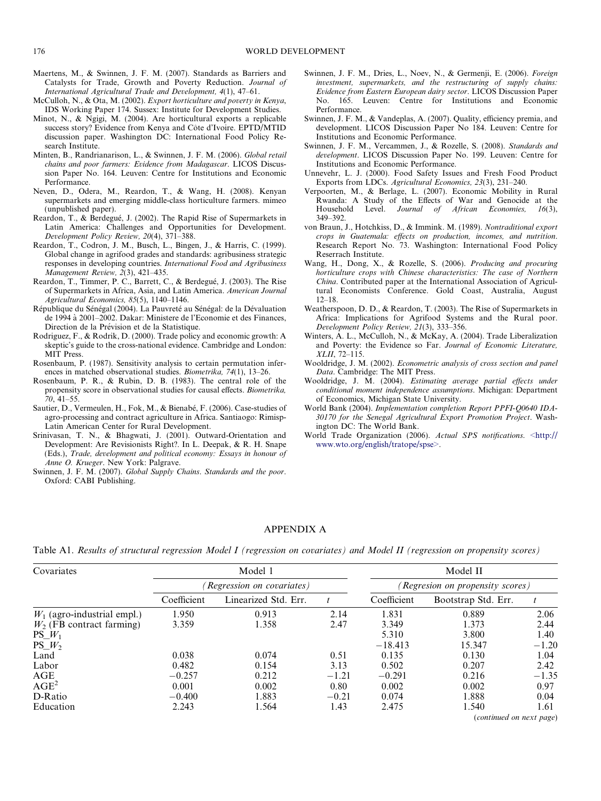<span id="page-15-0"></span>176 WORLD DEVELOPMENT

- Maertens, M., & Swinnen, J. F. M. (2007). Standards as Barriers and Catalysts for Trade, Growth and Poverty Reduction. Journal of International Agricultural Trade and Development, 4(1), 47–61.
- McCulloh, N., & Ota, M. (2002). Export horticulture and poverty in Kenya, IDS Working Paper 174. Sussex: Institute for Development Studies.
- Minot, N., & Ngigi, M. (2004). Are horticultural exports a replicable success story? Evidence from Kenya and Côte d'Ivoire. EPTD/MTID discussion paper. Washington DC: International Food Policy Research Institute.
- Minten, B., Randrianarison, L., & Swinnen, J. F. M. (2006). Global retail chains and poor farmers: Evidence from Madagascar. LICOS Discussion Paper No. 164. Leuven: Centre for Institutions and Economic Performance.
- Neven, D., Odera, M., Reardon, T., & Wang, H. (2008). Kenyan supermarkets and emerging middle-class horticulture farmers. mimeo (unpublished paper).
- Reardon, T., & Berdegué, J. (2002). The Rapid Rise of Supermarkets in Latin America: Challenges and Opportunities for Development. Development Policy Review, 20(4), 371–388.
- Reardon, T., Codron, J. M., Busch, L., Bingen, J., & Harris, C. (1999). Global change in agrifood grades and standards: agribusiness strategic responses in developing countries. International Food and Agribusiness Management Review, 2(3), 421–435.
- Reardon, T., Timmer, P. C., Barrett, C., & Berdegué, J. (2003). The Rise of Supermarkets in Africa, Asia, and Latin America. American Journal Agricultural Economics, 85(5), 1140–1146.
- République du Sénégal (2004). La Pauvreté au Sénégal: de la Dévaluation de 1994 a` 2001–2002. Dakar: Ministere de l'Economie et des Finances, Direction de la Prévision et de la Statistique.
- Rodriguez, F., & Rodrik, D. (2000). Trade policy and economic growth: A skeptic's guide to the cross-national evidence. Cambridge and London: MIT Press.
- Rosenbaum, P. (1987). Sensitivity analysis to certain permutation inferences in matched observational studies. Biometrika, 74(1), 13–26.
- Rosenbaum, P. R., & Rubin, D. B. (1983). The central role of the propensity score in observational studies for causal effects. Biometrika, 70, 41–55.
- Sautier, D., Vermeulen, H., Fok, M., & Bienabé, F. (2006). Case-studies of agro-processing and contract agriculture in Africa. Santiaogo: Rimisp-Latin American Center for Rural Development.
- Srinivasan, T. N., & Bhagwati, J. (2001). Outward-Orientation and Development: Are Revisionists Right?. In L. Deepak, & R. H. Snape (Eds.), Trade, development and political economy: Essays in honour of Anne O. Krueger. New York: Palgrave.
- Swinnen, J. F. M. (2007). Global Supply Chains. Standards and the poor. Oxford: CABI Publishing.
- Swinnen, J. F. M., Dries, L., Noev, N., & Germenji, E. (2006). Foreign investment, supermarkets, and the restructuring of supply chains: Evidence from Eastern European dairy sector. LICOS Discussion Paper No. 165. Leuven: Centre for Institutions and Economic Performance.
- Swinnen, J. F. M., & Vandeplas, A. (2007). Quality, efficiency premia, and development. LICOS Discussion Paper No 184. Leuven: Centre for Institutions and Economic Performance.
- Swinnen, J. F. M., Vercammen, J., & Rozelle, S. (2008). Standards and development. LICOS Discussion Paper No. 199. Leuven: Centre for Institutions and Economic Performance.
- Unnevehr, L. J. (2000). Food Safety Issues and Fresh Food Product Exports from LDCs. Agricultural Economics, 23(3), 231–240.
- Verpoorten, M., & Berlage, L. (2007). Economic Mobility in Rural Rwanda: A Study of the Effects of War and Genocide at the Household Level. Journal of African Economies, 16(3), 349–392.
- von Braun, J., Hotchkiss, D., & Immink. M. (1989). Nontraditional export crops in Guatemala: effects on production, incomes, and nutrition. Research Report No. 73. Washington: International Food Policy Reserrach Institute.
- Wang, H., Dong, X., & Rozelle, S. (2006). Producing and procuring horticulture crops with Chinese characteristics: The case of Northern China. Contributed paper at the International Association of Agricultural Economists Conference. Gold Coast, Australia, August 12–18.
- Weatherspoon, D. D., & Reardon, T. (2003). The Rise of Supermarkets in Africa: Implications for Agrifood Systems and the Rural poor. Development Policy Review, 21(3), 333–356.
- Winters, A. L., McCulloh, N., & McKay, A. (2004). Trade Liberalization and Poverty: the Evidence so Far. Journal of Economic Literature, XLII, 72–115.
- Wooldridge, J. M. (2002). Econometric analysis of cross section and panel Data. Cambridge: The MIT Press.
- Wooldridge, J. M. (2004). Estimating average partial effects under conditional moment independence assumptions. Michigan: Department of Economics, Michigan State University.
- World Bank (2004). Implementation completion Report PPFI-Q0640 IDA-30170 for the Senegal Agricultural Export Promotion Project. Washington DC: The World Bank.
- World Trade Organization (2006). Actual SPS notifications. [<http://](http://www.wto.org/english/tratope/spse) [www.wto.org/english/tratope/spse>](http://www.wto.org/english/tratope/spse).

#### APPENDIX A

Table A1. Results of structural regression Model I (regression on covariates) and Model II (regression on propensity scores)

| Covariates                    | Model 1<br>Regression on covariates) |                      |         | Model II    |                                 |         |  |
|-------------------------------|--------------------------------------|----------------------|---------|-------------|---------------------------------|---------|--|
|                               |                                      |                      |         |             | Regresion on propensity scores) |         |  |
|                               | Coefficient                          | Linearized Std. Err. |         | Coefficient | Bootstrap Std. Err.             |         |  |
| $W_1$ (agro-industrial empl.) | 1.950                                | 0.913                | 2.14    | 1.831       | 0.889                           | 2.06    |  |
| $W_2$ (FB contract farming)   | 3.359                                | 1.358                | 2.47    | 3.349       | 1.373                           | 2.44    |  |
| $PS_{1}W_1$                   |                                      |                      |         | 5.310       | 3.800                           | 1.40    |  |
| $PS_{1}/W_{2}$                |                                      |                      |         | $-18.413$   | 15.347                          | $-1.20$ |  |
| Land                          | 0.038                                | 0.074                | 0.51    | 0.135       | 0.130                           | 1.04    |  |
| Labor                         | 0.482                                | 0.154                | 3.13    | 0.502       | 0.207                           | 2.42    |  |
| AGE                           | $-0.257$                             | 0.212                | $-1.21$ | $-0.291$    | 0.216                           | $-1.35$ |  |
| AGE <sup>2</sup>              | 0.001                                | 0.002                | 0.80    | 0.002       | 0.002                           | 0.97    |  |
| D-Ratio                       | $-0.400$                             | 1.883                | $-0.21$ | 0.074       | 1.888                           | 0.04    |  |
| Education                     | 2.243                                | 1.564                | 1.43    | 2.475       | 1.540                           | 1.61    |  |

(continued on next page)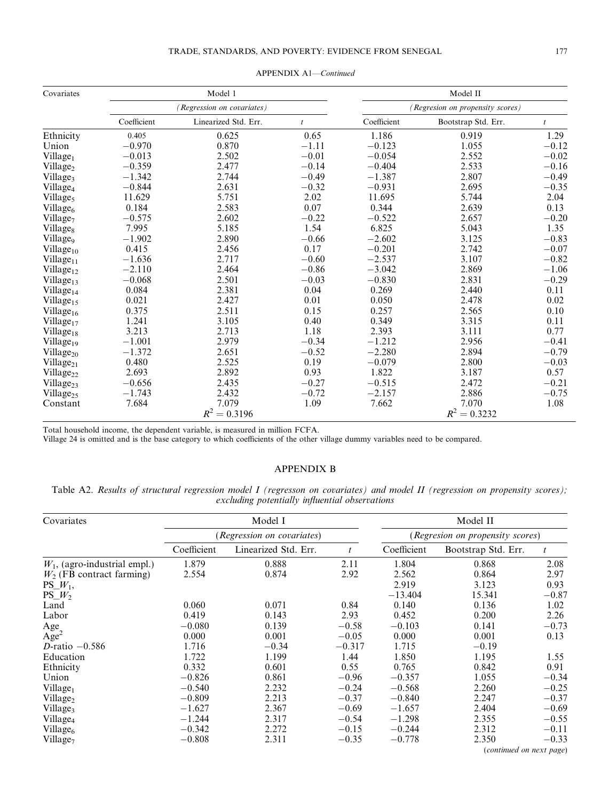<span id="page-16-0"></span>

| Covariates            | Model 1<br>(Regression on covariates) |                |         | Model II<br>(Regresion on propensity scores) |                |         |      |
|-----------------------|---------------------------------------|----------------|---------|----------------------------------------------|----------------|---------|------|
|                       |                                       |                |         |                                              |                |         |      |
|                       | Ethnicity                             | 0.405          | 0.625   | 0.65                                         | 1.186          | 0.919   | 1.29 |
| Union                 | $-0.970$                              | 0.870          | $-1.11$ | $-0.123$                                     | 1.055          | $-0.12$ |      |
| Village <sub>1</sub>  | $-0.013$                              | 2.502          | $-0.01$ | $-0.054$                                     | 2.552          | $-0.02$ |      |
| Village <sub>2</sub>  | $-0.359$                              | 2.477          | $-0.14$ | $-0.404$                                     | 2.533          | $-0.16$ |      |
| Village <sub>3</sub>  | $-1.342$                              | 2.744          | $-0.49$ | $-1.387$                                     | 2.807          | $-0.49$ |      |
| $\rm{}Village_4$      | $-0.844$                              | 2.631          | $-0.32$ | $-0.931$                                     | 2.695          | $-0.35$ |      |
| Village <sub>5</sub>  | 11.629                                | 5.751          | 2.02    | 11.695                                       | 5.744          | 2.04    |      |
| Village <sub>6</sub>  | 0.184                                 | 2.583          | 0.07    | 0.344                                        | 2.639          | 0.13    |      |
| Village <sub>7</sub>  | $-0.575$                              | 2.602          | $-0.22$ | $-0.522$                                     | 2.657          | $-0.20$ |      |
| Village <sub>8</sub>  | 7.995                                 | 5.185          | 1.54    | 6.825                                        | 5.043          | 1.35    |      |
| Village <sub>9</sub>  | $-1.902$                              | 2.890          | $-0.66$ | $-2.602$                                     | 3.125          | $-0.83$ |      |
| Village <sub>10</sub> | 0.415                                 | 2.456          | 0.17    | $-0.201$                                     | 2.742          | $-0.07$ |      |
| $Village_{11}$        | $-1.636$                              | 2.717          | $-0.60$ | $-2.537$                                     | 3.107          | $-0.82$ |      |
| Village <sub>12</sub> | $-2.110$                              | 2.464          | $-0.86$ | $-3.042$                                     | 2.869          | $-1.06$ |      |
| Village <sub>13</sub> | $-0.068$                              | 2.501          | $-0.03$ | $-0.830$                                     | 2.831          | $-0.29$ |      |
| Village <sub>14</sub> | 0.084                                 | 2.381          | 0.04    | 0.269                                        | 2.440          | 0.11    |      |
| Village <sub>15</sub> | 0.021                                 | 2.427          | 0.01    | 0.050                                        | 2.478          | 0.02    |      |
| Village <sub>16</sub> | 0.375                                 | 2.511          | 0.15    | 0.257                                        | 2.565          | 0.10    |      |
| Village <sub>17</sub> | 1.241                                 | 3.105          | 0.40    | 0.349                                        | 3.315          | 0.11    |      |
| Village <sub>18</sub> | 3.213                                 | 2.713          | 1.18    | 2.393                                        | 3.111          | 0.77    |      |
| Village <sub>19</sub> | $-1.001$                              | 2.979          | $-0.34$ | $-1.212$                                     | 2.956          | $-0.41$ |      |
| Village <sub>20</sub> | $-1.372$                              | 2.651          | $-0.52$ | $-2.280$                                     | 2.894          | $-0.79$ |      |
| Village <sub>21</sub> | 0.480                                 | 2.525          | 0.19    | $-0.079$                                     | 2.800          | $-0.03$ |      |
| Village <sub>22</sub> | 2.693                                 | 2.892          | 0.93    | 1.822                                        | 3.187          | 0.57    |      |
| Village <sub>23</sub> | $-0.656$                              | 2.435          | $-0.27$ | $-0.515$                                     | 2.472          | $-0.21$ |      |
| Village <sub>25</sub> | $-1.743$                              | 2.432          | $-0.72$ | $-2.157$                                     | 2.886          | $-0.75$ |      |
| Constant              | 7.684                                 | 7.079          | 1.09    | 7.662                                        | 7.070          | 1.08    |      |
|                       |                                       | $R^2 = 0.3196$ |         |                                              | $R^2 = 0.3232$ |         |      |

APPENDIX A1—Continued

Total household income, the dependent variable, is measured in million FCFA.

Village 24 is omitted and is the base category to which coefficients of the other village dummy variables need to be compared.

# APPENDIX B

Table A2. Results of structural regression model I (regresson on covariates) and model II (regression on propensity scores); excluding potentially influential observations

| Covariates                      | Model I<br>(Regression on covariates) |                      |          | Model II<br>(Regresion on propensity scores) |                          |                  |
|---------------------------------|---------------------------------------|----------------------|----------|----------------------------------------------|--------------------------|------------------|
|                                 |                                       |                      |          |                                              |                          |                  |
|                                 | Coefficient                           | Linearized Std. Err. | t        | Coefficient                                  | Bootstrap Std. Err.      | $\boldsymbol{t}$ |
| $W_1$ , (agro-industrial empl.) | 1.879                                 | 0.888                | 2.11     | 1.804                                        | 0.868                    | 2.08             |
| $W_2$ (FB contract farming)     | 2.554                                 | 0.874                | 2.92     | 2.562                                        | 0.864                    | 2.97             |
| $PS_{\_}W_1$ ,                  |                                       |                      |          | 2.919                                        | 3.123                    | 0.93             |
| $PS_{N_2}$                      |                                       |                      |          | $-13.404$                                    | 15.341                   | $-0.87$          |
| Land                            | 0.060                                 | 0.071                | 0.84     | 0.140                                        | 0.136                    | 1.02             |
| Labor                           | 0.419                                 | 0.143                | 2.93     | 0.452                                        | 0.200                    | 2.26             |
| Age                             | $-0.080$                              | 0.139                | $-0.58$  | $-0.103$                                     | 0.141                    | $-0.73$          |
| Age <sup>2</sup>                | 0.000                                 | 0.001                | $-0.05$  | 0.000                                        | 0.001                    | 0.13             |
| D-ratio $-0.586$                | 1.716                                 | $-0.34$              | $-0.317$ | 1.715                                        | $-0.19$                  |                  |
| Education                       | 1.722                                 | 1.199                | 1.44     | 1.850                                        | 1.195                    | 1.55             |
| Ethnicity                       | 0.332                                 | 0.601                | 0.55     | 0.765                                        | 0.842                    | 0.91             |
| Union                           | $-0.826$                              | 0.861                | $-0.96$  | $-0.357$                                     | 1.055                    | $-0.34$          |
| Village <sub>1</sub>            | $-0.540$                              | 2.232                | $-0.24$  | $-0.568$                                     | 2.260                    | $-0.25$          |
| Village <sub>2</sub>            | $-0.809$                              | 2.213                | $-0.37$  | $-0.840$                                     | 2.247                    | $-0.37$          |
| Village <sub>3</sub>            | $-1.627$                              | 2.367                | $-0.69$  | $-1.657$                                     | 2.404                    | $-0.69$          |
| Village <sub>4</sub>            | $-1.244$                              | 2.317                | $-0.54$  | $-1.298$                                     | 2.355                    | $-0.55$          |
| Village <sub>6</sub>            | $-0.342$                              | 2.272                | $-0.15$  | $-0.244$                                     | 2.312                    | $-0.11$          |
| Village <sub>7</sub>            | $-0.808$                              | 2.311                | $-0.35$  | $-0.778$                                     | 2.350                    | $-0.33$          |
|                                 |                                       |                      |          |                                              | (continued on next page) |                  |